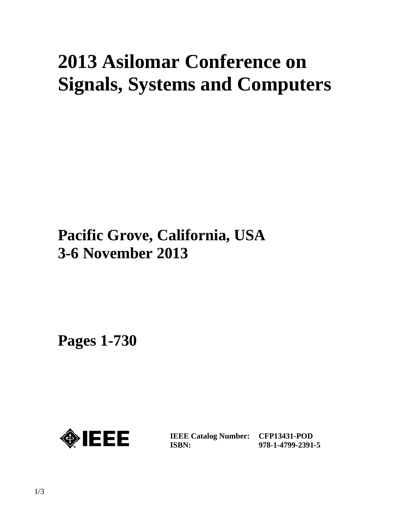# **2013 Asilomar Conference on Signals, Systems and Computers**

## **Pacific Grove, California, USA 3-6 November 2013**

**Pages 1-730** 



**IEEE Catalog Number: CFP13431-POD ISBN:** 

**978-1-4799-2391-5**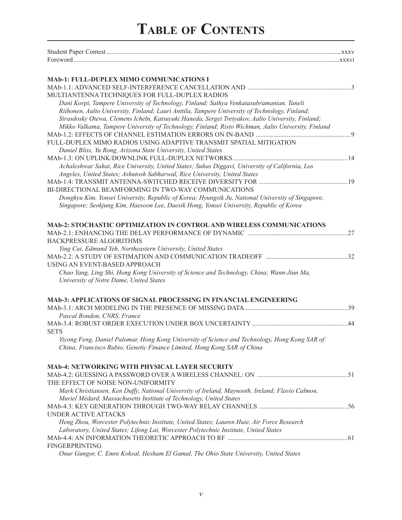## **Table of Contents**

| MAb-1: FULL-DUPLEX MIMO COMMUNICATIONS I                                                                                                                                 |  |
|--------------------------------------------------------------------------------------------------------------------------------------------------------------------------|--|
|                                                                                                                                                                          |  |
| MULTIANTENNA TECHNIQUES FOR FULL-DUPLEX RADIOS                                                                                                                           |  |
| Dani Korpi, Tampere University of Technology, Finland; Sathya Venkatasubramanian, Taneli                                                                                 |  |
| Riihonen, Aalto University, Finland; Lauri Anttila, Tampere University of Technology, Finland;                                                                           |  |
| Strasdosky Otewa, Clemens Icheln, Katsuyuki Haneda, Sergei Tretyakov, Aalto University, Finland;                                                                         |  |
| Mikko Valkama, Tampere University of Technology, Finland; Risto Wichman, Aalto University, Finland                                                                       |  |
|                                                                                                                                                                          |  |
| FULL-DUPLEX MIMO RADIOS USING ADAPTIVE TRANSMIT SPATIAL MITIGATION                                                                                                       |  |
| Daniel Bliss, Yu Rong, Arizona State University, United States                                                                                                           |  |
|                                                                                                                                                                          |  |
| Achaleshwar Sahai, Rice University, United States; Suhas Diggavi, University of California, Los                                                                          |  |
| Angeles, United States; Ashutosh Sabharwal, Rice University, United States                                                                                               |  |
|                                                                                                                                                                          |  |
| BI-DIRECTIONAL BEAMFORMING IN TWO-WAY COMMUNICATIONS                                                                                                                     |  |
| Dongkyu Kim, Yonsei University, Republic of Korea; Hyungsik Ju, National University of Singapore,                                                                        |  |
| Singapore; Seokjung Kim, Haesoon Lee, Daesik Hong, Yonsei University, Republic of Korea                                                                                  |  |
| <b>MAb-2: STOCHASTIC OPTIMIZATION IN CONTROL AND WIRELESS COMMUNICATIONS</b>                                                                                             |  |
|                                                                                                                                                                          |  |
| <b>BACKPRESSURE ALGORITHMS</b>                                                                                                                                           |  |
| Ying Cui, Edmund Yeh, Northeastern University, United States                                                                                                             |  |
|                                                                                                                                                                          |  |
| USING AN EVENT-BASED APPROACH                                                                                                                                            |  |
| Chao Yang, Ling Shi, Hong Kong University of Science and Technology, China; Wann-Jiun Ma,                                                                                |  |
| University of Notre Dame, United States                                                                                                                                  |  |
| <b>MAb-3: APPLICATIONS OF SIGNAL PROCESSING IN FINANCIAL ENGINEERING</b>                                                                                                 |  |
|                                                                                                                                                                          |  |
| Pascal Bondon, CNRS, France                                                                                                                                              |  |
|                                                                                                                                                                          |  |
| <b>SETS</b>                                                                                                                                                              |  |
| Yiyong Feng, Daniel Palomar, Hong Kong University of Science and Technology, Hong Kong SAR of<br>China; Francisco Rubio, Genetic Finance Limited, Hong Kong SAR of China |  |
| MAb-4: NETWORKING WITH PHYSICAL LAYER SECURITY                                                                                                                           |  |
|                                                                                                                                                                          |  |
| THE EFFECT OF NOISE NON-UNIFORMITY                                                                                                                                       |  |
| Mark Christiansen, Ken Duffy, National University of Ireland, Maynooth, Ireland; Flavio Calmon,                                                                          |  |
| Muriel Médard, Massachusetts Institute of Technology, United States                                                                                                      |  |
|                                                                                                                                                                          |  |
| <b>UNDER ACTIVE ATTACKS</b>                                                                                                                                              |  |
| Heng Zhou, Worcester Polytechnic Institute, United States; Lauren Huie, Air Force Research                                                                               |  |
| Laboratory, United States; Lifeng Lai, Worcester Polytechnic Institute, United States                                                                                    |  |
|                                                                                                                                                                          |  |
| <b>FINGERPRINTING</b>                                                                                                                                                    |  |
| Onur Gungor, C. Emre Koksal, Hesham El Gamal, The Ohio State University, United States                                                                                   |  |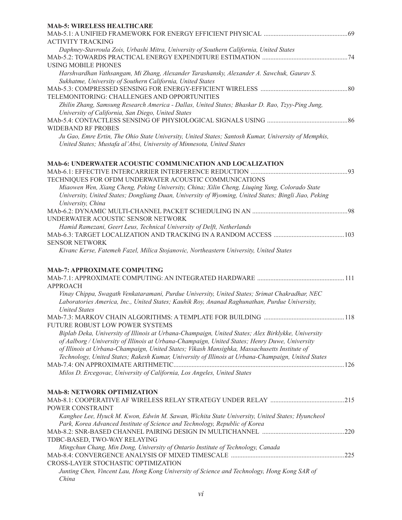| <b>MAb-5: WIRELESS HEALTHCARE</b>                                                                                                                     |      |
|-------------------------------------------------------------------------------------------------------------------------------------------------------|------|
|                                                                                                                                                       |      |
| <b>ACTIVITY TRACKING</b>                                                                                                                              |      |
| Daphney-Stavroula Zois, Urbashi Mitra, University of Southern California, United States                                                               |      |
|                                                                                                                                                       |      |
| <b>USING MOBILE PHONES</b>                                                                                                                            |      |
| Harshvardhan Vathsangam, Mi Zhang, Alexander Tarashansky, Alexander A. Sawchuk, Gaurav S.                                                             |      |
| Sukhatme, University of Southern California, United States                                                                                            |      |
|                                                                                                                                                       |      |
| TELEMONITORING: CHALLENGES AND OPPORTUNITIES                                                                                                          |      |
| Zhilin Zhang, Samsung Research America - Dallas, United States; Bhaskar D. Rao, Tzyy-Ping Jung,<br>University of California, San Diego, United States |      |
|                                                                                                                                                       |      |
| <b>WIDEBAND RF PROBES</b>                                                                                                                             |      |
| Ju Gao, Emre Ertin, The Ohio State University, United States; Santosh Kumar, University of Memphis,                                                   |      |
| United States; Mustafa al'Absi, University of Minnesota, United States                                                                                |      |
|                                                                                                                                                       |      |
| MAb-6: UNDERWATER ACOUSTIC COMMUNICATION AND LOCALIZATION                                                                                             |      |
|                                                                                                                                                       |      |
| TECHNIQUES FOR OFDM UNDERWATER ACOUSTIC COMMUNICATIONS                                                                                                |      |
| Miaowen Wen, Xiang Cheng, Peking University, China; Xilin Cheng, Liuqing Yang, Colorado State                                                         |      |
| University, United States; Dongliang Duan, University of Wyoming, United States; Bingli Jiao, Peking<br>University, China                             |      |
|                                                                                                                                                       |      |
| UNDERWATER ACOUSTIC SENSOR NETWORK                                                                                                                    |      |
| Hamid Ramezani, Geert Leus, Technical University of Delft, Netherlands                                                                                |      |
|                                                                                                                                                       |      |
| <b>SENSOR NETWORK</b>                                                                                                                                 |      |
| Kivanc Kerse, Fatemeh Fazel, Milica Stojanovic, Northeastern University, United States                                                                |      |
|                                                                                                                                                       |      |
| <b>MAb-7: APPROXIMATE COMPUTING</b>                                                                                                                   |      |
|                                                                                                                                                       |      |
| <b>APPROACH</b>                                                                                                                                       |      |
| Vinay Chippa, Swagath Venkataramani, Purdue University, United States; Srimat Chakradhar, NEC                                                         |      |
| Laboratories America, Inc., United States; Kauhik Roy, Ananad Raghunathan, Purdue University,                                                         |      |
| <b>United States</b>                                                                                                                                  |      |
|                                                                                                                                                       | .118 |
| FUTURE ROBUST LOW POWER SYSTEMS                                                                                                                       |      |
| Biplab Deka, University of Illinois at Urbana-Champaign, United States; Alex Birklykke, University                                                    |      |
| of Aalborg / University of Illinois at Urbana-Champaign, United States; Henry Duwe, University                                                        |      |
| of Illinois at Urbana-Champaign, United States; Vikash Mansighka, Massachusetts Institute of                                                          |      |
| Technology, United States; Rakesh Kumar, University of Illinois at Urbana-Champaign, United States                                                    |      |
|                                                                                                                                                       |      |
| Milos D. Ercegovac, University of California, Los Angeles, United States                                                                              |      |
| <b>MAb-8: NETWORK OPTIMIZATION</b>                                                                                                                    |      |
|                                                                                                                                                       |      |
| POWER CONSTRAINT                                                                                                                                      |      |
| Kanghee Lee, Hyuck M. Kwon, Edwin M. Sawan, Wichita State University, United States; Hyuncheol                                                        |      |
| Park, Korea Advanced Institute of Science and Technology, Republic of Korea                                                                           |      |
|                                                                                                                                                       |      |
| TDBC-BASED, TWO-WAY RELAYING                                                                                                                          |      |
| Mingchun Chang, Min Dong, University of Ontario Institute of Technology, Canada                                                                       |      |
|                                                                                                                                                       |      |
| CROSS-LAYER STOCHASTIC OPTIMIZATION                                                                                                                   |      |
| Junting Chen, Vincent Lau, Hong Kong University of Science and Technology, Hong Kong SAR of                                                           |      |
| China                                                                                                                                                 |      |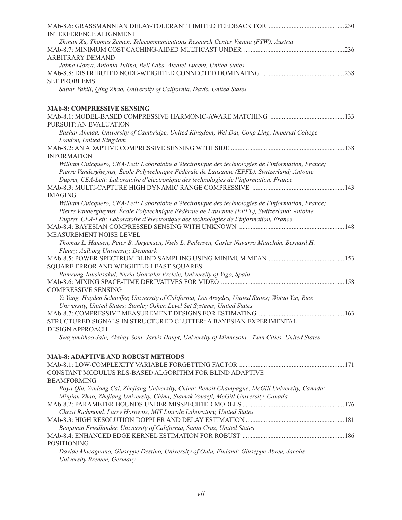| <b>INTERFERENCE ALIGNMENT</b>                                                                      |  |
|----------------------------------------------------------------------------------------------------|--|
| Zhinan Xu, Thomas Zemen, Telecommunications Research Center Vienna (FTW), Austria                  |  |
|                                                                                                    |  |
| ARBITRARY DEMAND                                                                                   |  |
| Jaime Llorca, Antonia Tulino, Bell Labs, Alcatel-Lucent, United States                             |  |
|                                                                                                    |  |
| <b>SET PROBLEMS</b>                                                                                |  |
| Sattar Vakili, Qing Zhao, University of California, Davis, United States                           |  |
| <b>MAb-8: COMPRESSIVE SENSING</b>                                                                  |  |
|                                                                                                    |  |
| PURSUIT: AN EVALUATION                                                                             |  |
| Bashar Ahmad, University of Cambridge, United Kingdom; Wei Dai, Cong Ling, Imperial College        |  |
| London, United Kingdom                                                                             |  |
|                                                                                                    |  |
| <b>INFORMATION</b>                                                                                 |  |
| William Guicquero, CEA-Leti: Laboratoire d'électronique des technologies de l'information, France; |  |
| Pierre Vandergheynst, École Polytechnique Fédérale de Lausanne (EPFL), Switzerland; Antoine        |  |
| Dupret, CEA-Leti: Laboratoire d'électronique des technologies de l'information, France             |  |
|                                                                                                    |  |
| <b>IMAGING</b>                                                                                     |  |
| William Guicquero, CEA-Leti: Laboratoire d'électronique des technologies de l'information, France; |  |
| Pierre Vandergheynst, École Polytechnique Fédérale de Lausanne (EPFL), Switzerland; Antoine        |  |
| Dupret, CEA-Leti: Laboratoire d'électronique des technologies de l'information, France             |  |
|                                                                                                    |  |
| MEASUREMENT NOISE LEVEL                                                                            |  |
| Thomas L. Hansen, Peter B. Jørgensen, Niels L. Pedersen, Carles Navarro Manchón, Bernard H.        |  |
| Fleury, Aalborg University, Denmark                                                                |  |
|                                                                                                    |  |
| SQUARE ERROR AND WEIGHTED LEAST SQUARES                                                            |  |
| Bamrung Tausiesakul, Nuria González Prelcic, University of Vigo, Spain                             |  |
|                                                                                                    |  |
| <b>COMPRESSIVE SENSING</b>                                                                         |  |
| Yi Yang, Hayden Schaeffer, University of California, Los Angeles, United States; Wotao Yin, Rice   |  |
| University, United States; Stanley Osher, Level Set Systems, United States                         |  |
|                                                                                                    |  |
| STRUCTURED SIGNALS IN STRUCTURED CLUTTER: A BAYESIAN EXPERIMENTAL                                  |  |
| <b>DESIGN APPROACH</b>                                                                             |  |
| Swayambhoo Jain, Akshay Soni, Jarvis Haupt, University of Minnesota - Twin Cities, United States   |  |
|                                                                                                    |  |
| <b>MAb-8: ADAPTIVE AND ROBUST METHODS</b>                                                          |  |
|                                                                                                    |  |
| CONSTANT MODULUS RLS-BASED ALGORITHM FOR BLIND ADAPTIVE                                            |  |
| <b>BEAMFORMING</b>                                                                                 |  |
| Boya Qin, Yunlong Cai, Zhejiang University, China; Benoit Champagne, McGill University, Canada;    |  |
| Minjian Zhao, Zhejiang University, China; Siamak Yousefi, McGill University, Canada                |  |
|                                                                                                    |  |
| Christ Richmond, Larry Horowitz, MIT Lincoln Laboratory, United States                             |  |
| 181. 181 MAb-8.3: HIGH RESOLUTION DOPPLER AND DELAY ESTIMATION                                     |  |
| Benjamin Friedlander, University of California, Santa Cruz, United States                          |  |
|                                                                                                    |  |
| <b>POSITIONING</b>                                                                                 |  |
| Davide Macagnano, Giuseppe Destino, University of Oulu, Finland; Giuseppe Abreu, Jacobs            |  |
| University Bremen, Germany                                                                         |  |
|                                                                                                    |  |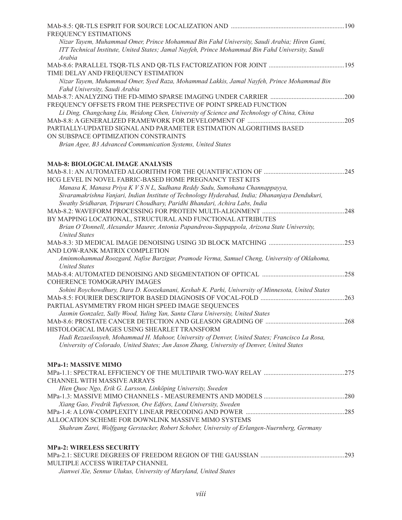| FREQUENCY ESTIMATIONS                                                                             |      |
|---------------------------------------------------------------------------------------------------|------|
| Nizar Tayem, Muhammad Omer, Prince Mohammad Bin Fahd University, Saudi Arabia; Hiren Gami,        |      |
| ITT Technical Institute, United States; Jamal Nayfeh, Prince Mohammad Bin Fahd University, Saudi  |      |
| Arabia                                                                                            |      |
|                                                                                                   |      |
| TIME DELAY AND FREQUENCY ESTIMATION                                                               |      |
| Nizar Tayem, Muhammad Omer, Syed Raza, Mohammad Lakkis, Jamal Nayfeh, Prince Mohammad Bin         |      |
| Fahd University, Saudi Arabia                                                                     |      |
|                                                                                                   | .200 |
| FREQUENCY OFFSETS FROM THE PERSPECTIVE OF POINT SPREAD FUNCTION                                   |      |
| Li Ding, Changchang Liu, Weidong Chen, University of Science and Technology of China, China       |      |
|                                                                                                   | .205 |
| PARTIALLY-UPDATED SIGNAL AND PARAMETER ESTIMATION ALGORITHMS BASED                                |      |
| ON SUBSPACE OPTIMIZATION CONSTRAINTS                                                              |      |
| Brian Agee, B3 Advanced Communication Systems, United States                                      |      |
| <b>MAb-8: BIOLOGICAL IMAGE ANALYSIS</b>                                                           |      |
|                                                                                                   |      |
| HCG LEVEL IN NOVEL FABRIC-BASED HOME PREGNANCY TEST KITS                                          |      |
| Manasa K, Manasa Priya K V S N L, Sadhana Reddy Sadu, Sumohana Channappayya,                      |      |
| Sivaramakrishna Vanjari, Indian Institute of Technology Hyderabad, India; Dhananjaya Dendukuri,   |      |
| Swathy Sridharan, Tripurari Choudhary, Paridhi Bhandari, Achira Labs, India                       |      |
|                                                                                                   | 248  |
| BY MAPPING LOCATIONAL, STRUCTURAL AND FUNCTIONAL ATTRIBUTES                                       |      |
| Brian O'Donnell, Alexander Maurer, Antonia Papandreou-Suppappola, Arizona State University,       |      |
| <b>United States</b>                                                                              |      |
|                                                                                                   |      |
| AND LOW-RANK MATRIX COMPLETION                                                                    |      |
| Aminmohammad Roozgard, Nafise Barzigar, Pramode Verma, Samuel Cheng, University of Oklahoma,      |      |
| <b>United States</b>                                                                              |      |
|                                                                                                   | .258 |
| <b>COHERENCE TOMOGRAPHY IMAGES</b>                                                                |      |
| Sohini Roychowdhury, Dara D. Koozekanani, Keshab K. Parhi, University of Minnesota, United States |      |
|                                                                                                   |      |
| PARTIAL ASYMMETRY FROM HIGH SPEED IMAGE SEQUENCES                                                 |      |
| Jasmin Gonzalez, Sally Wood, Yuling Yan, Santa Clara University, United States                    |      |
|                                                                                                   |      |
| HISTOLOGICAL IMAGES USING SHEARLET TRANSFORM                                                      |      |
| Hadi Rezaeilouyeh, Mohammad H. Mahoor, University of Denver, United States; Francisco La Rosa,    |      |
| University of Colorado, United States; Jun Jason Zhang, University of Denver, United States       |      |
| <b>MPa-1: MASSIVE MIMO</b>                                                                        |      |
|                                                                                                   |      |
| CHANNEL WITH MASSIVE ARRAYS                                                                       |      |
| Hien Quoc Ngo, Erik G. Larsson, Linköping University, Sweden                                      |      |
|                                                                                                   |      |
| Xiang Gao, Fredrik Tufvesson, Ove Edfors, Lund University, Sweden                                 |      |
|                                                                                                   |      |
| ALLOCATION SCHEME FOR DOWNLINK MASSIVE MIMO SYSTEMS                                               |      |
| Shahram Zarei, Wolfgang Gerstacker, Robert Schober, University of Erlangen-Nuernberg, Germany     |      |
| <b>MPa-2: WIRELESS SECURITY</b>                                                                   |      |
|                                                                                                   |      |
| MULTIPLE ACCESS WIRETAP CHANNEL                                                                   |      |
| Jianwei Xie, Sennur Ulukus, University of Maryland, United States                                 |      |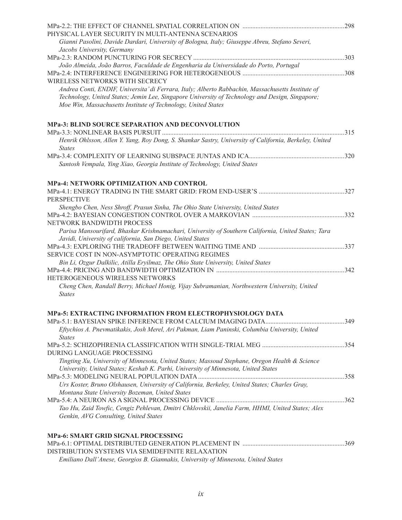|                                                                                                               | .298 |
|---------------------------------------------------------------------------------------------------------------|------|
| PHYSICAL LAYER SECURITY IN MULTI-ANTENNA SCENARIOS                                                            |      |
| Gianni Pasolini, Davide Dardari, University of Bologna, Italy; Giuseppe Abreu, Stefano Severi,                |      |
| Jacobs University, Germany                                                                                    |      |
|                                                                                                               |      |
| João Almeida, João Barros, Faculdade de Engenharia da Universidade do Porto, Portugal                         |      |
| WIRELESS NETWORKS WITH SECRECY                                                                                |      |
| Andrea Conti, ENDIF, Universita' di Ferrara, Italy; Alberto Rabbachin, Massachusetts Institute of             |      |
| Technology, United States; Jemin Lee, Singapore University of Technology and Design, Singapore;               |      |
| Moe Win, Massachusetts Institute of Technology, United States                                                 |      |
| MPa-3: BLIND SOURCE SEPARATION AND DECONVOLUTION                                                              |      |
|                                                                                                               |      |
| Henrik Ohlsson, Allen Y. Yang, Roy Dong, S. Shankar Sastry, University of California, Berkeley, United        |      |
| <i>States</i>                                                                                                 |      |
|                                                                                                               | .320 |
| Santosh Vempala, Ying Xiao, Georgia Institute of Technology, United States                                    |      |
| <b>MPa-4: NETWORK OPTIMIZATION AND CONTROL</b>                                                                |      |
|                                                                                                               |      |
| <b>PERSPECTIVE</b>                                                                                            |      |
| Shengbo Chen, Ness Shroff, Prasun Sinha, The Ohio State University, United States                             |      |
|                                                                                                               |      |
| NETWORK BANDWIDTH PROCESS                                                                                     |      |
| Parisa Mansourifard, Bhaskar Krishnamachari, University of Southern California, United States; Tara           |      |
| Javidi, University of california, San Diego, United States                                                    |      |
|                                                                                                               |      |
| SERVICE COST IN NON-ASYMPTOTIC OPERATING REGIMES                                                              |      |
| Bin Li, Ozgur Dalkilic, Atilla Eryilmaz, The Ohio State University, United States                             |      |
|                                                                                                               | .342 |
| HETEROGENEOUS WIRELESS NETWORKS                                                                               |      |
| Cheng Chen, Randall Berry, Michael Honig, Vijay Subramanian, Northwestern University, United<br><b>States</b> |      |
|                                                                                                               |      |
| <b>MPa-5: EXTRACTING INFORMATION FROM ELECTROPHYSIOLOGY DATA</b>                                              |      |
| Eftychios A. Pnevmatikakis, Josh Merel, Ari Pakman, Liam Paninski, Columbia University, United                |      |
| <b>States</b>                                                                                                 |      |
|                                                                                                               |      |
| <b>DURING LANGUAGE PROCESSING</b>                                                                             |      |
| Tingting Xu, University of Minnesota, United States; Massoud Stephane, Oregon Health & Science                |      |
| University, United States; Keshab K. Parhi, University of Minnesota, United States                            |      |
|                                                                                                               |      |
| Urs Koster, Bruno Olshausen, University of California, Berkeley, United States; Charles Gray,                 |      |
| Montana State University Bozeman, United States                                                               |      |
|                                                                                                               |      |
| Tao Hu, Zaid Towfic, Cengiz Pehlevan, Dmitri Chklovskii, Janelia Farm, HHMI, United States; Alex              |      |
| Genkin, AVG Consulting, United States                                                                         |      |
| <b>MPa-6: SMART GRID SIGNAL PROCESSING</b>                                                                    |      |
|                                                                                                               |      |
| DISTRIBUTION SYSTEMS VIA SEMIDEFINITE RELAXATION                                                              |      |
| $H/d_{\text{max}}$ $C_{\text{max}}$ $D$ $C_{\text{max}}$                                                      |      |

*Emiliano Dall'Anese, Georgios B. Giannakis, University of Minnesota, United States*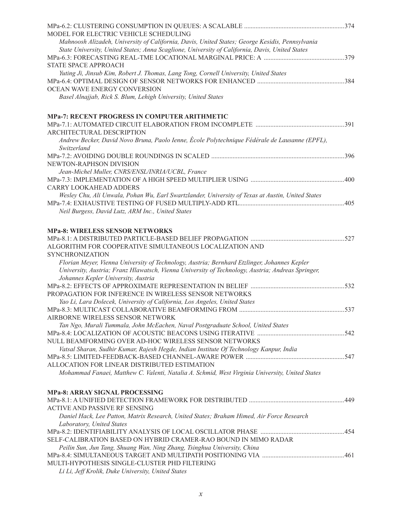| MODEL FOR ELECTRIC VEHICLE SCHEDULING                                                             |  |
|---------------------------------------------------------------------------------------------------|--|
| Mahnoosh Alizadeh, University of California, Davis, United States; George Kesidis, Pennsylvania   |  |
| State University, United States; Anna Scaglione, University of California, Davis, United States   |  |
|                                                                                                   |  |
| STATE SPACE APPROACH                                                                              |  |
| Yuting Ji, Jinsub Kim, Robert J. Thomas, Lang Tong, Cornell University, United States             |  |
|                                                                                                   |  |
| OCEAN WAVE ENERGY CONVERSION                                                                      |  |
| Basel Alnajjab, Rick S. Blum, Lehigh University, United States                                    |  |
| <b>MPa-7: RECENT PROGRESS IN COMPUTER ARITHMETIC</b>                                              |  |
|                                                                                                   |  |
| ARCHITECTURAL DESCRIPTION                                                                         |  |
| Andrew Becker, David Novo Bruna, Paolo Ienne, École Polytechnique Fédérale de Lausanne (EPFL),    |  |
| Switzerland                                                                                       |  |
|                                                                                                   |  |
| NEWTON-RAPHSON DIVISION                                                                           |  |
| Jean-Michel Muller, CNRS/ENSL/INRIA/UCBL, France                                                  |  |
|                                                                                                   |  |
| <b>CARRY LOOKAHEAD ADDERS</b>                                                                     |  |
| Wesley Chu, Ali Unwala, Pohan Wu, Earl Swartzlander, University of Texas at Austin, United States |  |
|                                                                                                   |  |
| Neil Burgess, David Lutz, ARM Inc., United States                                                 |  |
| <b>MPa-8: WIRELESS SENSOR NETWORKS</b>                                                            |  |
|                                                                                                   |  |
| ALGORITHM FOR COOPERATIVE SIMULTANEOUS LOCALIZATION AND                                           |  |
| <b>SYNCHRONIZATION</b>                                                                            |  |
| Florian Meyer, Vienna University of Technology, Austria; Bernhard Etzlinger, Johannes Kepler      |  |
| University, Austria; Franz Hlawatsch, Vienna University of Technology, Austria; Andreas Springer, |  |
| Johannes Kepler University, Austria                                                               |  |
| PROPAGATION FOR INFERENCE IN WIRELESS SENSOR NETWORKS                                             |  |
| Yao Li, Lara Dolecek, University of California, Los Angeles, United States                        |  |
|                                                                                                   |  |
| AIRBORNE WIRELESS SENSOR NETWORK                                                                  |  |
| Tan Ngo, Murali Tummala, John McEachen, Naval Postgraduate School, United States                  |  |
|                                                                                                   |  |
| NULL BEAMFORMING OVER AD-HOC WIRELESS SENSOR NETWORKS                                             |  |
| Vatsal Sharan, Sudhir Kumar, Rajesh Hegde, Indian Institute Of Technology Kanpur, India           |  |
|                                                                                                   |  |
| ALLOCATION FOR LINEAR DISTRIBUTED ESTIMATION                                                      |  |
| Mohammad Fanaei, Matthew C. Valenti, Natalia A. Schmid, West Virginia University, United States   |  |
| <b>MPa-8: ARRAY SIGNAL PROCESSING</b>                                                             |  |
|                                                                                                   |  |
| ACTIVE AND PASSIVE RF SENSING                                                                     |  |
| Daniel Hack, Lee Patton, Matrix Research, United States; Braham Himed, Air Force Research         |  |
| Laboratory, United States                                                                         |  |
|                                                                                                   |  |
| SELF-CALIBRATION BASED ON HYBRID CRAMER-RAO BOUND IN MIMO RADAR                                   |  |
| Peilin Sun, Jun Tang, Shuang Wan, Ning Zhang, Tsinghua University, China                          |  |
|                                                                                                   |  |
| MULTI-HYPOTHESIS SINGLE-CLUSTER PHD FILTERING                                                     |  |
| Li Li, Jeff Krolik, Duke University, United States                                                |  |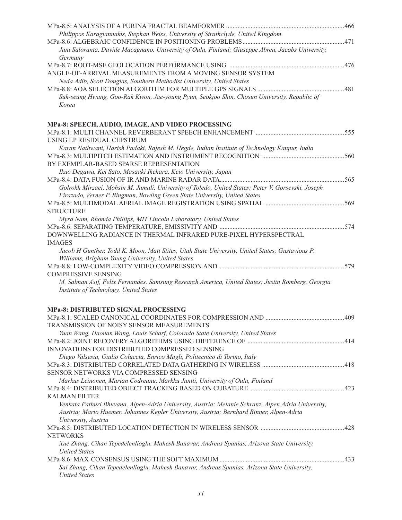| Philippos Karagiannakis, Stephan Weiss, University of Strathclyde, United Kingdom                                                           |  |
|---------------------------------------------------------------------------------------------------------------------------------------------|--|
| Jani Saloranta, Davide Macagnano, University of Oulu, Finland; Giuseppe Abreu, Jacobs University,                                           |  |
| Germany                                                                                                                                     |  |
| ANGLE-OF-ARRIVAL MEASUREMENTS FROM A MOVING SENSOR SYSTEM                                                                                   |  |
| Neda Adib, Scott Douglas, Southern Methodist University, United States                                                                      |  |
|                                                                                                                                             |  |
| Suk-seung Hwang, Goo-Rak Kwon, Jae-young Pyun, Seokjoo Shin, Chosun University, Republic of                                                 |  |
| Korea                                                                                                                                       |  |
| MPa-8: SPEECH, AUDIO, IMAGE, AND VIDEO PROCESSING                                                                                           |  |
|                                                                                                                                             |  |
| USING LP RESIDUAL CEPSTRUM                                                                                                                  |  |
| Karan Nathwani, Harish Padaki, Rajesh M. Hegde, Indian Institute of Technology Kanpur, India                                                |  |
|                                                                                                                                             |  |
| BY EXEMPLAR-BASED SPARSE REPRESENTATION                                                                                                     |  |
|                                                                                                                                             |  |
| Ikuo Degawa, Kei Sato, Masaaki Ikehara, Keio University, Japan                                                                              |  |
|                                                                                                                                             |  |
| Golrokh Mirzaei, Mohsin M. Jamali, University of Toledo, United States; Peter V. Gorsevski, Joseph                                          |  |
| Firazado, Verner P. Bingman, Bowling Green State University, United States                                                                  |  |
| <b>STRUCTURE</b>                                                                                                                            |  |
| Myra Nam, Rhonda Phillips, MIT Lincoln Laboratory, United States                                                                            |  |
|                                                                                                                                             |  |
| DOWNWELLING RADIANCE IN THERMAL INFRARED PURE-PIXEL HYPERSPECTRAL                                                                           |  |
| <b>IMAGES</b>                                                                                                                               |  |
| Jacob H Gunther, Todd K. Moon, Matt Stites, Utah State University, United States; Gustavious P.                                             |  |
| Williams, Brigham Young University, United States                                                                                           |  |
|                                                                                                                                             |  |
| <b>COMPRESSIVE SENSING</b>                                                                                                                  |  |
| M. Salman Asif, Felix Fernandes, Samsung Research America, United States; Justin Romberg, Georgia<br>Institute of Technology, United States |  |
| <b>MPa-8: DISTRIBUTED SIGNAL PROCESSING</b>                                                                                                 |  |
|                                                                                                                                             |  |
| TRANSMISSION OF NOISY SENSOR MEASUREMENTS                                                                                                   |  |
| Yuan Wang, Haonan Wang, Louis Scharf, Colorado State University, United States                                                              |  |
|                                                                                                                                             |  |
| INNOVATIONS FOR DISTRIBUTED COMPRESSED SENSING                                                                                              |  |
| Diego Valsesia, Giulio Coluccia, Enrico Magli, Politecnico di Torino, Italy                                                                 |  |
|                                                                                                                                             |  |
|                                                                                                                                             |  |
| SENSOR NETWORKS VIA COMPRESSED SENSING                                                                                                      |  |
| Markus Leinonen, Marian Codreanu, Markku Juntti, University of Oulu, Finland                                                                |  |
|                                                                                                                                             |  |
| <b>KALMAN FILTER</b>                                                                                                                        |  |
| Venkata Pathuri Bhuvana, Alpen-Adria University, Austria; Melanie Schranz, Alpen Adria University,                                          |  |
| Austria; Mario Huemer, Johannes Kepler University, Austria; Bernhard Rinner, Alpen-Adria                                                    |  |
| University, Austria                                                                                                                         |  |
|                                                                                                                                             |  |
| <b>NETWORKS</b>                                                                                                                             |  |
| Xue Zhang, Cihan Tepedelenlioglu, Mahesh Banavar, Andreas Spanias, Arizona State University,                                                |  |
| <b>United States</b>                                                                                                                        |  |
|                                                                                                                                             |  |
| Sai Zhang, Cihan Tepedelenlioglu, Mahesh Banavar, Andreas Spanias, Arizona State University,                                                |  |
| <b>United States</b>                                                                                                                        |  |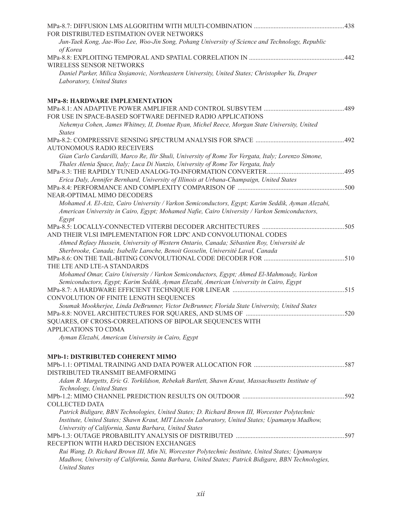| FOR DISTRIBUTED ESTIMATION OVER NETWORKS                                                            |  |
|-----------------------------------------------------------------------------------------------------|--|
| Jun-Taek Kong, Jae-Woo Lee, Woo-Jin Song, Pohang University of Science and Technology, Republic     |  |
| of Korea                                                                                            |  |
|                                                                                                     |  |
| WIRELESS SENSOR NETWORKS                                                                            |  |
| Daniel Parker, Milica Stojanovic, Northeastern University, United States; Christopher Yu, Draper    |  |
| Laboratory, United States                                                                           |  |
|                                                                                                     |  |
| <b>MPa-8: HARDWARE IMPLEMENTATION</b>                                                               |  |
|                                                                                                     |  |
| FOR USE IN SPACE-BASED SOFTWARE DEFINED RADIO APPLICATIONS                                          |  |
| Nehemya Cohen, James Whitney, II, Dontae Ryan, Michel Reece, Morgan State University, United        |  |
| <b>States</b>                                                                                       |  |
| <b>AUTONOMOUS RADIO RECEIVERS</b>                                                                   |  |
| Gian Carlo Cardarilli, Marco Re, Ilir Shuli, University of Rome Tor Vergata, Italy; Lorenzo Simone, |  |
| Thales Alenia Space, Italy; Luca Di Nunzio, University of Rome Tor Vergata, Italy                   |  |
|                                                                                                     |  |
| Erica Daly, Jennifer Bernhard, University of Illinois at Urbana-Champaign, United States            |  |
|                                                                                                     |  |
| NEAR-OPTIMAL MIMO DECODERS                                                                          |  |
| Mohamed A. El-Aziz, Cairo University / Varkon Semiconductors, Egypt; Karim Seddik, Ayman Alezabi,   |  |
| American University in Cairo, Egypt; Mohamed Nafie, Cairo University / Varkon Semiconductors,       |  |
| Egypt                                                                                               |  |
|                                                                                                     |  |
| AND THEIR VLSI IMPLEMENTATION FOR LDPC AND CONVOLUTIONAL CODES                                      |  |
| Ahmed Refaey Hussein, University of Western Ontario, Canada; Sébastien Roy, Université de           |  |
| Sherbrooke, Canada; Isabelle Laroche, Benoit Gosselin, Université Laval, Canada                     |  |
|                                                                                                     |  |
| THE LTE AND LTE-A STANDARDS                                                                         |  |
| Mohamed Omar, Cairo University / Varkon Semiconductors, Egypt; Ahmed El-Mahmoudy, Varkon            |  |
| Semiconductors, Egypt; Karim Seddik, Ayman Elezabi, American University in Cairo, Egypt             |  |
|                                                                                                     |  |
| CONVOLUTION OF FINITE LENGTH SEQUENCES                                                              |  |
| Soumak Mookherjee, Linda DeBrunner, Victor DeBrunner, Florida State University, United States       |  |
|                                                                                                     |  |
| SQUARES, OF CROSS-CORRELATIONS OF BIPOLAR SEQUENCES WITH<br>APPLICATIONS TO CDMA                    |  |
| Ayman Elezabi, American University in Cairo, Egypt                                                  |  |
|                                                                                                     |  |
| <b>MPb-1: DISTRIBUTED COHERENT MIMO</b>                                                             |  |
|                                                                                                     |  |
| DISTRIBUTED TRANSMIT BEAMFORMING                                                                    |  |
| Adam R. Margetts, Eric G. Torkildson, Rebekah Bartlett, Shawn Kraut, Massachusetts Institute of     |  |
| Technology, United States                                                                           |  |
|                                                                                                     |  |
| <b>COLLECTED DATA</b>                                                                               |  |
| Patrick Bidigare, BBN Technologies, United States; D. Richard Brown III, Worcester Polytechnic      |  |
| Institute, United States; Shawn Kraut, MIT Lincoln Laboratory, United States; Upamanyu Madhow,      |  |
| University of California, Santa Barbara, United States                                              |  |
|                                                                                                     |  |
| RECEPTION WITH HARD DECISION EXCHANGES                                                              |  |
| Rui Wang, D. Richard Brown III, Min Ni, Worcester Polytechnic Institute, United States; Upamanyu    |  |
| Madhow, University of California, Santa Barbara, United States; Patrick Bidigare, BBN Technologies, |  |
| <b>United States</b>                                                                                |  |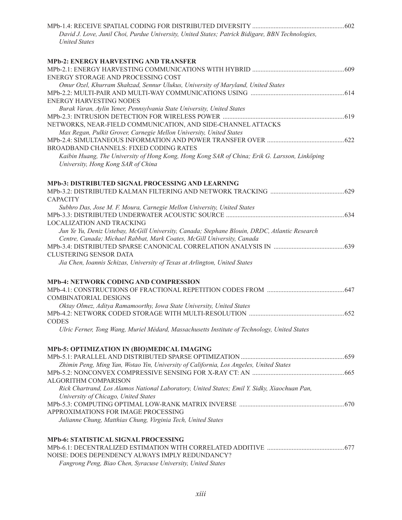| David J. Love, Junil Choi, Purdue University, United States; Patrick Bidigare, BBN Technologies,<br><b>United States</b>            |             |
|-------------------------------------------------------------------------------------------------------------------------------------|-------------|
| <b>MPb-2: ENERGY HARVESTING AND TRANSFER</b>                                                                                        |             |
| ENERGY STORAGE AND PROCESSING COST                                                                                                  |             |
| Omur Ozel, Khurram Shahzad, Sennur Ulukus, University of Maryland, United States                                                    |             |
|                                                                                                                                     |             |
| <b>ENERGY HARVESTING NODES</b>                                                                                                      |             |
| Burak Varan, Aylin Yener, Pennsylvania State University, United States                                                              |             |
| NETWORKS, NEAR-FIELD COMMUNICATION, AND SIDE-CHANNEL ATTACKS                                                                        |             |
| Max Regan, Pulkit Grover, Carnegie Mellon University, United States                                                                 |             |
|                                                                                                                                     |             |
| <b>BROADBAND CHANNELS: FIXED CODING RATES</b>                                                                                       |             |
| Kaibin Huang, The University of Hong Kong, Hong Kong SAR of China; Erik G. Larsson, Linköping<br>University, Hong Kong SAR of China |             |
| MPb-3: DISTRIBUTED SIGNAL PROCESSING AND LEARNING                                                                                   |             |
| <b>CAPACITY</b>                                                                                                                     |             |
| Subhro Das, Jose M. F. Moura, Carnegie Mellon University, United States                                                             |             |
| <b>LOCALIZATION AND TRACKING</b>                                                                                                    |             |
| Jun Ye Yu, Deniz Ustebay, McGill University, Canada; Stephane Blouin, DRDC, Atlantic Research                                       |             |
| Centre, Canada; Michael Rabbat, Mark Coates, McGill University, Canada                                                              |             |
|                                                                                                                                     |             |
| <b>CLUSTERING SENSOR DATA</b><br>Jia Chen, Ioannis Schizas, University of Texas at Arlington, United States                         |             |
|                                                                                                                                     |             |
| MPb-4: NETWORK CODING AND COMPRESSION                                                                                               |             |
|                                                                                                                                     |             |
| <b>COMBINATORIAL DESIGNS</b>                                                                                                        |             |
| Oktay Olmez, Aditya Ramamoorthy, Iowa State University, United States                                                               |             |
| MPb-4.2: NETWORK CODED STORAGE WITH MULTI-RESOLUTION<br><b>CODES</b>                                                                | $\dots 652$ |
| Ulric Ferner, Tong Wang, Muriel Médard, Massachusetts Institute of Technology, United States                                        |             |
| MPb-5: OPTIMIZATION IN (BIO)MEDICAL IMAGING                                                                                         |             |
|                                                                                                                                     |             |
| Zhimin Peng, Ming Yan, Wotao Yin, University of California, Los Angeles, United States                                              |             |
| ALGORITHM COMPARISON                                                                                                                |             |
| Rick Chartrand, Los Alamos National Laboratory, United States; Emil Y. Sidky, Xiaochuan Pan,                                        |             |
| University of Chicago, United States                                                                                                |             |
|                                                                                                                                     |             |
| APPROXIMATIONS FOR IMAGE PROCESSING                                                                                                 |             |
| Julianne Chung, Matthias Chung, Virginia Tech, United States                                                                        |             |
| MPb-6: STATISTICAL SIGNAL PROCESSING                                                                                                |             |
|                                                                                                                                     |             |
| NOISE: DOES DEPENDENCY ALWAYS IMPLY REDUNDANCY?<br>Fangrong Peng, Biao Chen, Syracuse University, United States                     |             |
|                                                                                                                                     |             |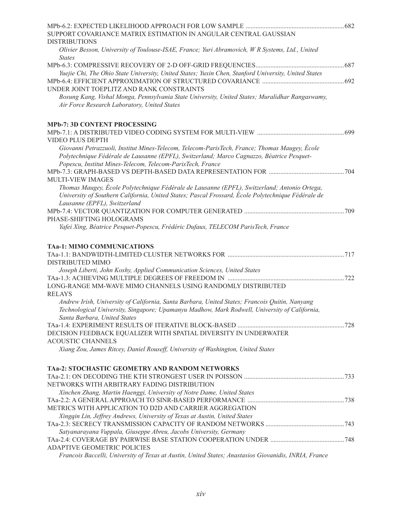| SUPPORT COVARIANCE MATRIX ESTIMATION IN ANGULAR CENTRAL GAUSSIAN                                                                                |      |
|-------------------------------------------------------------------------------------------------------------------------------------------------|------|
| <b>DISTRIBUTIONS</b><br>Olivier Besson, University of Toulouse-ISAE, France; Yuri Abramovich, W R Systems, Ltd., United                         |      |
| <b>States</b>                                                                                                                                   |      |
|                                                                                                                                                 |      |
| Yuejie Chi, The Ohio State University, United States; Yuxin Chen, Stanford University, United States                                            |      |
|                                                                                                                                                 |      |
| UNDER JOINT TOEPLITZ AND RANK CONSTRAINTS                                                                                                       |      |
| Bosung Kang, Vishal Monga, Pennsylvania State University, United States; Muralidhar Rangaswamy,<br>Air Force Research Laboratory, United States |      |
| <b>MPb-7: 3D CONTENT PROCESSING</b>                                                                                                             |      |
|                                                                                                                                                 | .699 |
| VIDEO PLUS DEPTH                                                                                                                                |      |
| Giovanni Petrazzuoli, Institut Mines-Telecom, Telecom-ParisTech, France; Thomas Maugey, École                                                   |      |
| Polytechnique Fédérale de Lausanne (EPFL), Switzerland; Marco Cagnazzo, Béatrice Pesquet-                                                       |      |
| Popescu, Institut Mines-Telecom, Telecom-ParisTech, France                                                                                      |      |
|                                                                                                                                                 |      |
| MULTI-VIEW IMAGES                                                                                                                               |      |
| Thomas Maugey, École Polytechnique Fédérale de Lausanne (EPFL), Switzerland; Antonio Ortega,                                                    |      |
| University of Southern California, United States; Pascal Frossard, École Polytechnique Fédérale de                                              |      |
| Lausanne (EPFL), Switzerland                                                                                                                    |      |
|                                                                                                                                                 |      |
| PHASE-SHIFTING HOLOGRAMS                                                                                                                        |      |
| Yafei Xing, Béatrice Pesquet-Popescu, Frédéric Dufaux, TELECOM ParisTech, France                                                                |      |
| <b>TAa-1: MIMO COMMUNICATIONS</b>                                                                                                               |      |
|                                                                                                                                                 |      |
| DISTRIBUTED MIMO                                                                                                                                |      |
| Joseph Liberti, John Koshy, Applied Communication Sciences, United States                                                                       |      |
|                                                                                                                                                 |      |
| LONG-RANGE MM-WAVE MIMO CHANNELS USING RANDOMLY DISTRIBUTED                                                                                     |      |
| <b>RELAYS</b>                                                                                                                                   |      |
| Andrew Irish, University of California, Santa Barbara, United States; Francois Quitin, Nanyang                                                  |      |
| Technological University, Singapore; Upamanyu Madhow, Mark Rodwell, University of California,                                                   |      |
| Santa Barbara, United States                                                                                                                    |      |
|                                                                                                                                                 |      |
| DECISION FEEDBACK EQUALIZER WITH SPATIAL DIVERSITY IN UNDERWATER                                                                                |      |
| <b>ACOUSTIC CHANNELS</b>                                                                                                                        |      |
| Xiang Zou, James Ritcey, Daniel Rouseff, University of Washington, United States                                                                |      |
| TAa-2: STOCHASTIC GEOMETRY AND RANDOM NETWORKS                                                                                                  |      |
|                                                                                                                                                 |      |
| NETWORKS WITH ARBITRARY FADING DISTRIBUTION                                                                                                     |      |
| Xinchen Zhang, Martin Haenggi, University of Notre Dame, United States                                                                          |      |
|                                                                                                                                                 |      |
| METRICS WITH APPLICATION TO D2D AND CARRIER AGGREGATION                                                                                         |      |
| Xingqin Lin, Jeffrey Andrews, University of Texas at Austin, United States                                                                      |      |
|                                                                                                                                                 |      |
| Satyanarayana Vuppala, Giuseppe Abreu, Jacobs University, Germany                                                                               |      |
|                                                                                                                                                 |      |
| <b>ADAPTIVE GEOMETRIC POLICIES</b>                                                                                                              |      |
| Francois Baccelli, University of Texas at Austin, United States; Anastasios Giovanidis, INRIA, France                                           |      |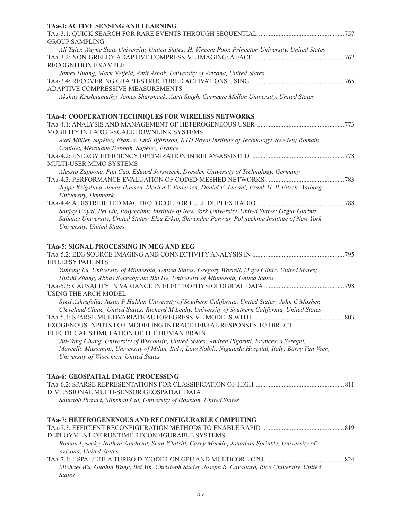| TAa-3: ACTIVE SENSING AND LEARNING                                                                                      |     |
|-------------------------------------------------------------------------------------------------------------------------|-----|
|                                                                                                                         |     |
| <b>GROUP SAMPLING</b>                                                                                                   |     |
| Ali Tajer, Wayne State University, United States; H. Vincent Poor, Princeton University, United States                  |     |
|                                                                                                                         |     |
| RECOGNITION EXAMPLE                                                                                                     |     |
| James Huang, Mark Neifeld, Amit Ashok, University of Arizona, United States                                             |     |
|                                                                                                                         |     |
| ADAPTIVE COMPRESSIVE MEASUREMENTS                                                                                       |     |
| Akshay Krishnamuthy, James Sharpnack, Aarti Singh, Carnegie Mellon University, United States                            |     |
| TAa-4: COOPERATION TECHNIQUES FOR WIRELESS NETWORKS                                                                     |     |
|                                                                                                                         |     |
| MOBILITY IN LARGE-SCALE DOWNLINK SYSTEMS                                                                                |     |
| Axel Müller, Supélec, France; Emil Björnson, KTH Royal Institute of Technology, Sweden; Romain                          |     |
| Couillet, Mérouane Debbah, Supélec, France                                                                              |     |
|                                                                                                                         |     |
| MULTI-USER MIMO SYSTEMS                                                                                                 |     |
| Alessio Zappone, Pan Cao, Eduard Jorswieck, Dresden University of Technology, Germany                                   |     |
|                                                                                                                         |     |
| Jeppe Krigslund, Jonas Hansen, Morten V. Pedersen, Daniel E. Lucani, Frank H. P. Fitzek, Aalborg<br>University, Denmark |     |
|                                                                                                                         |     |
| Sanjay Goyal, Pei Liu, Polytechnic Institute of New York University, United States; Ozgur Gurbuz,                       |     |
| Sabanci University, United States; Elza Erkip, Shivendra Panwar, Polytechnic Institute of New York                      |     |
| University, United States                                                                                               |     |
| TAa-5: SIGNAL PROCESSING IN MEG AND EEG                                                                                 |     |
|                                                                                                                         |     |
| <b>EPILEPSY PATIENTS</b>                                                                                                |     |
| Yunfeng Lu, University of Minnesota, United States; Gregory Worrell, Mayo Clinic, United States;                        |     |
| Huishi Zhang, Abbas Sohrabpour, Bin He, University of Minnesota, United States                                          |     |
|                                                                                                                         | 798 |
| <b>USING THE ARCH MODEL</b>                                                                                             |     |
| Syed Ashrafulla, Justin P Haldar, University of Southern California, United States; John C Mosher,                      |     |
| Cleveland Clinic, United States; Richard M Leahy, University of Southern California, United States                      |     |
|                                                                                                                         | 803 |
| EXOGENOUS INPUTS FOR MODELING INTRACEREBRAL RESPONSES TO DIRECT                                                         |     |
| ELECTRICAL STIMULATION OF THE HUMAN BRAIN                                                                               |     |
| Jui-Yang Chang, University of Wisconsin, United States; Andrea Pigorini, Francesca Seregni,                             |     |
| Marcello Massimini, University of Milan, Italy; Lino Nobili, Niguarda Hospital, Italy; Barry Van Veen,                  |     |
| University of Wisconsin, United States                                                                                  |     |
| TAa-6: GEOSPATIAL IMAGE PROCESSING                                                                                      |     |
|                                                                                                                         |     |
| DIMENSIONAL MULTI-SENSOR GEOSPATIAL DATA                                                                                |     |
| Saurabh Prasad, Minshan Cui, University of Houston, United States                                                       |     |
| TAa-7: HETEROGENENOUS AND RECONFIGURABLE COMPUTING                                                                      |     |
|                                                                                                                         |     |
| DEPLOYMENT OF RUNTIME RECONFIGURABLE SYSTEMS                                                                            |     |
| Roman Lysecky, Nathan Sandoval, Sean Whitsitt, Casey Mackin, Jonathan Sprinkle, University of                           |     |
| Arizona, United States                                                                                                  |     |
|                                                                                                                         |     |
| Michael Wu, Guohui Wang, Bei Yin, Christoph Studer, Joseph R. Cavallaro, Rice University, United                        |     |
| <b>States</b>                                                                                                           |     |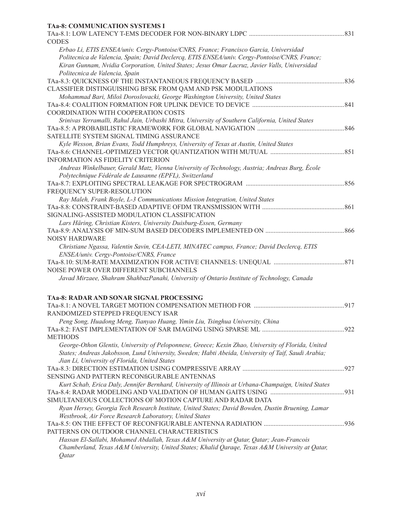| Erbao Li, ETIS ENSEA/univ. Cergy-Pontoise/CNRS, France; Francisco Garcia, Universidad<br>Politecnica de Valencia, Spain; David Declercq, ETIS ENSEA/univ. Cergy-Pontoise/CNRS, France;<br>Kiran Gunnam, Nvidia Corporation, United States; Jesus Omar Lacruz, Javier Valls, Universidad<br>Politecnica de Valencia, Spain<br>CLASSIFIER DISTINGUISHING BFSK FROM QAM AND PSK MODULATIONS<br>Mohammad Bari, Miloš Doroslovacki, George Washington University, United States<br>COORDINATION WITH COOPERATION COSTS<br>Srinivas Yerramalli, Rahul Jain, Urbashi Mitra, University of Southern California, United States<br>SATELLITE SYSTEM SIGNAL TIMING ASSURANCE<br>Kyle Wesson, Brian Evans, Todd Humphreys, University of Texas at Austin, United States<br><b>INFORMATION AS FIDELITY CRITERION</b><br>Andreas Winkelbauer, Gerald Matz, Vienna University of Technology, Austria; Andreas Burg, École<br>Polytechnique Fédérale de Lausanne (EPFL), Switzerland<br>FREQUENCY SUPER-RESOLUTION<br>Ray Maleh, Frank Boyle, L-3 Communications Mission Integration, United States<br>SIGNALING-ASSISTED MODULATION CLASSIFICATION<br>Lars Häring, Christian Kisters, University Duisburg-Essen, Germany<br>Christiane Ngassa, Valentin Savin, CEA-LETI, MINATEC campus, France; David Declercq, ETIS<br>ENSEA/univ. Cergy-Pontoise/CNRS, France<br>Javad Mirzaee, Shahram ShahbazPanahi, University of Ontario Institute of Technology, Canada<br>RANDOMIZED STEPPED FREQUENCY ISAR<br>Peng Song, Huadong Meng, Tianyao Huang, Yimin Liu, Tsinghua University, China<br><b>METHODS</b><br>George-Othon Glentis, University of Peloponnese, Greece; Kexin Zhao, University of Florida, United<br>States; Andreas Jakobsson, Lund University, Sweden; Habti Abeida, University of Taif, Saudi Arabia;<br>Jian Li, University of Florida, United States<br>SENSING AND PATTERN RECONfiGURABLE ANTENNAS<br>Kurt Schab, Erica Daly, Jennifer Bernhard, University of Illinois at Urbana-Champaign, United States<br>SIMULTANEOUS COLLECTIONS OF MOTION CAPTURE AND RADAR DATA<br>Ryan Hersey, Georgia Tech Research Institute, United States; David Bowden, Dustin Bruening, Lamar<br>Westbrook, Air Force Research Laboratory, United States<br>PATTERNS ON OUTDOOR CHANNEL CHARACTERISTICS<br>Hassan El-Sallabi, Mohamed Abdallah, Texas A&M University at Qatar, Qatar; Jean-Francois<br>Chamberland, Texas A&M University, United States; Khalid Qaraqe, Texas A&M University at Qatar,<br>Qatar | <b>TAa-8: COMMUNICATION SYSTEMS I</b>           |  |
|---------------------------------------------------------------------------------------------------------------------------------------------------------------------------------------------------------------------------------------------------------------------------------------------------------------------------------------------------------------------------------------------------------------------------------------------------------------------------------------------------------------------------------------------------------------------------------------------------------------------------------------------------------------------------------------------------------------------------------------------------------------------------------------------------------------------------------------------------------------------------------------------------------------------------------------------------------------------------------------------------------------------------------------------------------------------------------------------------------------------------------------------------------------------------------------------------------------------------------------------------------------------------------------------------------------------------------------------------------------------------------------------------------------------------------------------------------------------------------------------------------------------------------------------------------------------------------------------------------------------------------------------------------------------------------------------------------------------------------------------------------------------------------------------------------------------------------------------------------------------------------------------------------------------------------------------------------------------------------------------------------------------------------------------------------------------------------------------------------------------------------------------------------------------------------------------------------------------------------------------------------------------------------------------------------------------------------------------------------------------------------------------------------------------------------------------------------------------------------------------------|-------------------------------------------------|--|
|                                                                                                                                                                                                                                                                                                                                                                                                                                                                                                                                                                                                                                                                                                                                                                                                                                                                                                                                                                                                                                                                                                                                                                                                                                                                                                                                                                                                                                                                                                                                                                                                                                                                                                                                                                                                                                                                                                                                                                                                                                                                                                                                                                                                                                                                                                                                                                                                                                                                                                   | <b>CODES</b>                                    |  |
|                                                                                                                                                                                                                                                                                                                                                                                                                                                                                                                                                                                                                                                                                                                                                                                                                                                                                                                                                                                                                                                                                                                                                                                                                                                                                                                                                                                                                                                                                                                                                                                                                                                                                                                                                                                                                                                                                                                                                                                                                                                                                                                                                                                                                                                                                                                                                                                                                                                                                                   |                                                 |  |
|                                                                                                                                                                                                                                                                                                                                                                                                                                                                                                                                                                                                                                                                                                                                                                                                                                                                                                                                                                                                                                                                                                                                                                                                                                                                                                                                                                                                                                                                                                                                                                                                                                                                                                                                                                                                                                                                                                                                                                                                                                                                                                                                                                                                                                                                                                                                                                                                                                                                                                   |                                                 |  |
|                                                                                                                                                                                                                                                                                                                                                                                                                                                                                                                                                                                                                                                                                                                                                                                                                                                                                                                                                                                                                                                                                                                                                                                                                                                                                                                                                                                                                                                                                                                                                                                                                                                                                                                                                                                                                                                                                                                                                                                                                                                                                                                                                                                                                                                                                                                                                                                                                                                                                                   |                                                 |  |
|                                                                                                                                                                                                                                                                                                                                                                                                                                                                                                                                                                                                                                                                                                                                                                                                                                                                                                                                                                                                                                                                                                                                                                                                                                                                                                                                                                                                                                                                                                                                                                                                                                                                                                                                                                                                                                                                                                                                                                                                                                                                                                                                                                                                                                                                                                                                                                                                                                                                                                   |                                                 |  |
|                                                                                                                                                                                                                                                                                                                                                                                                                                                                                                                                                                                                                                                                                                                                                                                                                                                                                                                                                                                                                                                                                                                                                                                                                                                                                                                                                                                                                                                                                                                                                                                                                                                                                                                                                                                                                                                                                                                                                                                                                                                                                                                                                                                                                                                                                                                                                                                                                                                                                                   |                                                 |  |
|                                                                                                                                                                                                                                                                                                                                                                                                                                                                                                                                                                                                                                                                                                                                                                                                                                                                                                                                                                                                                                                                                                                                                                                                                                                                                                                                                                                                                                                                                                                                                                                                                                                                                                                                                                                                                                                                                                                                                                                                                                                                                                                                                                                                                                                                                                                                                                                                                                                                                                   |                                                 |  |
|                                                                                                                                                                                                                                                                                                                                                                                                                                                                                                                                                                                                                                                                                                                                                                                                                                                                                                                                                                                                                                                                                                                                                                                                                                                                                                                                                                                                                                                                                                                                                                                                                                                                                                                                                                                                                                                                                                                                                                                                                                                                                                                                                                                                                                                                                                                                                                                                                                                                                                   |                                                 |  |
|                                                                                                                                                                                                                                                                                                                                                                                                                                                                                                                                                                                                                                                                                                                                                                                                                                                                                                                                                                                                                                                                                                                                                                                                                                                                                                                                                                                                                                                                                                                                                                                                                                                                                                                                                                                                                                                                                                                                                                                                                                                                                                                                                                                                                                                                                                                                                                                                                                                                                                   |                                                 |  |
|                                                                                                                                                                                                                                                                                                                                                                                                                                                                                                                                                                                                                                                                                                                                                                                                                                                                                                                                                                                                                                                                                                                                                                                                                                                                                                                                                                                                                                                                                                                                                                                                                                                                                                                                                                                                                                                                                                                                                                                                                                                                                                                                                                                                                                                                                                                                                                                                                                                                                                   |                                                 |  |
|                                                                                                                                                                                                                                                                                                                                                                                                                                                                                                                                                                                                                                                                                                                                                                                                                                                                                                                                                                                                                                                                                                                                                                                                                                                                                                                                                                                                                                                                                                                                                                                                                                                                                                                                                                                                                                                                                                                                                                                                                                                                                                                                                                                                                                                                                                                                                                                                                                                                                                   |                                                 |  |
|                                                                                                                                                                                                                                                                                                                                                                                                                                                                                                                                                                                                                                                                                                                                                                                                                                                                                                                                                                                                                                                                                                                                                                                                                                                                                                                                                                                                                                                                                                                                                                                                                                                                                                                                                                                                                                                                                                                                                                                                                                                                                                                                                                                                                                                                                                                                                                                                                                                                                                   |                                                 |  |
|                                                                                                                                                                                                                                                                                                                                                                                                                                                                                                                                                                                                                                                                                                                                                                                                                                                                                                                                                                                                                                                                                                                                                                                                                                                                                                                                                                                                                                                                                                                                                                                                                                                                                                                                                                                                                                                                                                                                                                                                                                                                                                                                                                                                                                                                                                                                                                                                                                                                                                   |                                                 |  |
|                                                                                                                                                                                                                                                                                                                                                                                                                                                                                                                                                                                                                                                                                                                                                                                                                                                                                                                                                                                                                                                                                                                                                                                                                                                                                                                                                                                                                                                                                                                                                                                                                                                                                                                                                                                                                                                                                                                                                                                                                                                                                                                                                                                                                                                                                                                                                                                                                                                                                                   |                                                 |  |
|                                                                                                                                                                                                                                                                                                                                                                                                                                                                                                                                                                                                                                                                                                                                                                                                                                                                                                                                                                                                                                                                                                                                                                                                                                                                                                                                                                                                                                                                                                                                                                                                                                                                                                                                                                                                                                                                                                                                                                                                                                                                                                                                                                                                                                                                                                                                                                                                                                                                                                   |                                                 |  |
|                                                                                                                                                                                                                                                                                                                                                                                                                                                                                                                                                                                                                                                                                                                                                                                                                                                                                                                                                                                                                                                                                                                                                                                                                                                                                                                                                                                                                                                                                                                                                                                                                                                                                                                                                                                                                                                                                                                                                                                                                                                                                                                                                                                                                                                                                                                                                                                                                                                                                                   |                                                 |  |
|                                                                                                                                                                                                                                                                                                                                                                                                                                                                                                                                                                                                                                                                                                                                                                                                                                                                                                                                                                                                                                                                                                                                                                                                                                                                                                                                                                                                                                                                                                                                                                                                                                                                                                                                                                                                                                                                                                                                                                                                                                                                                                                                                                                                                                                                                                                                                                                                                                                                                                   |                                                 |  |
|                                                                                                                                                                                                                                                                                                                                                                                                                                                                                                                                                                                                                                                                                                                                                                                                                                                                                                                                                                                                                                                                                                                                                                                                                                                                                                                                                                                                                                                                                                                                                                                                                                                                                                                                                                                                                                                                                                                                                                                                                                                                                                                                                                                                                                                                                                                                                                                                                                                                                                   |                                                 |  |
|                                                                                                                                                                                                                                                                                                                                                                                                                                                                                                                                                                                                                                                                                                                                                                                                                                                                                                                                                                                                                                                                                                                                                                                                                                                                                                                                                                                                                                                                                                                                                                                                                                                                                                                                                                                                                                                                                                                                                                                                                                                                                                                                                                                                                                                                                                                                                                                                                                                                                                   |                                                 |  |
|                                                                                                                                                                                                                                                                                                                                                                                                                                                                                                                                                                                                                                                                                                                                                                                                                                                                                                                                                                                                                                                                                                                                                                                                                                                                                                                                                                                                                                                                                                                                                                                                                                                                                                                                                                                                                                                                                                                                                                                                                                                                                                                                                                                                                                                                                                                                                                                                                                                                                                   |                                                 |  |
|                                                                                                                                                                                                                                                                                                                                                                                                                                                                                                                                                                                                                                                                                                                                                                                                                                                                                                                                                                                                                                                                                                                                                                                                                                                                                                                                                                                                                                                                                                                                                                                                                                                                                                                                                                                                                                                                                                                                                                                                                                                                                                                                                                                                                                                                                                                                                                                                                                                                                                   |                                                 |  |
|                                                                                                                                                                                                                                                                                                                                                                                                                                                                                                                                                                                                                                                                                                                                                                                                                                                                                                                                                                                                                                                                                                                                                                                                                                                                                                                                                                                                                                                                                                                                                                                                                                                                                                                                                                                                                                                                                                                                                                                                                                                                                                                                                                                                                                                                                                                                                                                                                                                                                                   |                                                 |  |
|                                                                                                                                                                                                                                                                                                                                                                                                                                                                                                                                                                                                                                                                                                                                                                                                                                                                                                                                                                                                                                                                                                                                                                                                                                                                                                                                                                                                                                                                                                                                                                                                                                                                                                                                                                                                                                                                                                                                                                                                                                                                                                                                                                                                                                                                                                                                                                                                                                                                                                   |                                                 |  |
|                                                                                                                                                                                                                                                                                                                                                                                                                                                                                                                                                                                                                                                                                                                                                                                                                                                                                                                                                                                                                                                                                                                                                                                                                                                                                                                                                                                                                                                                                                                                                                                                                                                                                                                                                                                                                                                                                                                                                                                                                                                                                                                                                                                                                                                                                                                                                                                                                                                                                                   |                                                 |  |
|                                                                                                                                                                                                                                                                                                                                                                                                                                                                                                                                                                                                                                                                                                                                                                                                                                                                                                                                                                                                                                                                                                                                                                                                                                                                                                                                                                                                                                                                                                                                                                                                                                                                                                                                                                                                                                                                                                                                                                                                                                                                                                                                                                                                                                                                                                                                                                                                                                                                                                   | <b>NOISY HARDWARE</b>                           |  |
|                                                                                                                                                                                                                                                                                                                                                                                                                                                                                                                                                                                                                                                                                                                                                                                                                                                                                                                                                                                                                                                                                                                                                                                                                                                                                                                                                                                                                                                                                                                                                                                                                                                                                                                                                                                                                                                                                                                                                                                                                                                                                                                                                                                                                                                                                                                                                                                                                                                                                                   |                                                 |  |
|                                                                                                                                                                                                                                                                                                                                                                                                                                                                                                                                                                                                                                                                                                                                                                                                                                                                                                                                                                                                                                                                                                                                                                                                                                                                                                                                                                                                                                                                                                                                                                                                                                                                                                                                                                                                                                                                                                                                                                                                                                                                                                                                                                                                                                                                                                                                                                                                                                                                                                   |                                                 |  |
|                                                                                                                                                                                                                                                                                                                                                                                                                                                                                                                                                                                                                                                                                                                                                                                                                                                                                                                                                                                                                                                                                                                                                                                                                                                                                                                                                                                                                                                                                                                                                                                                                                                                                                                                                                                                                                                                                                                                                                                                                                                                                                                                                                                                                                                                                                                                                                                                                                                                                                   |                                                 |  |
|                                                                                                                                                                                                                                                                                                                                                                                                                                                                                                                                                                                                                                                                                                                                                                                                                                                                                                                                                                                                                                                                                                                                                                                                                                                                                                                                                                                                                                                                                                                                                                                                                                                                                                                                                                                                                                                                                                                                                                                                                                                                                                                                                                                                                                                                                                                                                                                                                                                                                                   | NOISE POWER OVER DIFFERENT SUBCHANNELS          |  |
|                                                                                                                                                                                                                                                                                                                                                                                                                                                                                                                                                                                                                                                                                                                                                                                                                                                                                                                                                                                                                                                                                                                                                                                                                                                                                                                                                                                                                                                                                                                                                                                                                                                                                                                                                                                                                                                                                                                                                                                                                                                                                                                                                                                                                                                                                                                                                                                                                                                                                                   |                                                 |  |
|                                                                                                                                                                                                                                                                                                                                                                                                                                                                                                                                                                                                                                                                                                                                                                                                                                                                                                                                                                                                                                                                                                                                                                                                                                                                                                                                                                                                                                                                                                                                                                                                                                                                                                                                                                                                                                                                                                                                                                                                                                                                                                                                                                                                                                                                                                                                                                                                                                                                                                   | <b>TAa-8: RADAR AND SONAR SIGNAL PROCESSING</b> |  |
|                                                                                                                                                                                                                                                                                                                                                                                                                                                                                                                                                                                                                                                                                                                                                                                                                                                                                                                                                                                                                                                                                                                                                                                                                                                                                                                                                                                                                                                                                                                                                                                                                                                                                                                                                                                                                                                                                                                                                                                                                                                                                                                                                                                                                                                                                                                                                                                                                                                                                                   |                                                 |  |
|                                                                                                                                                                                                                                                                                                                                                                                                                                                                                                                                                                                                                                                                                                                                                                                                                                                                                                                                                                                                                                                                                                                                                                                                                                                                                                                                                                                                                                                                                                                                                                                                                                                                                                                                                                                                                                                                                                                                                                                                                                                                                                                                                                                                                                                                                                                                                                                                                                                                                                   |                                                 |  |
|                                                                                                                                                                                                                                                                                                                                                                                                                                                                                                                                                                                                                                                                                                                                                                                                                                                                                                                                                                                                                                                                                                                                                                                                                                                                                                                                                                                                                                                                                                                                                                                                                                                                                                                                                                                                                                                                                                                                                                                                                                                                                                                                                                                                                                                                                                                                                                                                                                                                                                   |                                                 |  |
|                                                                                                                                                                                                                                                                                                                                                                                                                                                                                                                                                                                                                                                                                                                                                                                                                                                                                                                                                                                                                                                                                                                                                                                                                                                                                                                                                                                                                                                                                                                                                                                                                                                                                                                                                                                                                                                                                                                                                                                                                                                                                                                                                                                                                                                                                                                                                                                                                                                                                                   |                                                 |  |
|                                                                                                                                                                                                                                                                                                                                                                                                                                                                                                                                                                                                                                                                                                                                                                                                                                                                                                                                                                                                                                                                                                                                                                                                                                                                                                                                                                                                                                                                                                                                                                                                                                                                                                                                                                                                                                                                                                                                                                                                                                                                                                                                                                                                                                                                                                                                                                                                                                                                                                   |                                                 |  |
|                                                                                                                                                                                                                                                                                                                                                                                                                                                                                                                                                                                                                                                                                                                                                                                                                                                                                                                                                                                                                                                                                                                                                                                                                                                                                                                                                                                                                                                                                                                                                                                                                                                                                                                                                                                                                                                                                                                                                                                                                                                                                                                                                                                                                                                                                                                                                                                                                                                                                                   |                                                 |  |
|                                                                                                                                                                                                                                                                                                                                                                                                                                                                                                                                                                                                                                                                                                                                                                                                                                                                                                                                                                                                                                                                                                                                                                                                                                                                                                                                                                                                                                                                                                                                                                                                                                                                                                                                                                                                                                                                                                                                                                                                                                                                                                                                                                                                                                                                                                                                                                                                                                                                                                   |                                                 |  |
|                                                                                                                                                                                                                                                                                                                                                                                                                                                                                                                                                                                                                                                                                                                                                                                                                                                                                                                                                                                                                                                                                                                                                                                                                                                                                                                                                                                                                                                                                                                                                                                                                                                                                                                                                                                                                                                                                                                                                                                                                                                                                                                                                                                                                                                                                                                                                                                                                                                                                                   |                                                 |  |
|                                                                                                                                                                                                                                                                                                                                                                                                                                                                                                                                                                                                                                                                                                                                                                                                                                                                                                                                                                                                                                                                                                                                                                                                                                                                                                                                                                                                                                                                                                                                                                                                                                                                                                                                                                                                                                                                                                                                                                                                                                                                                                                                                                                                                                                                                                                                                                                                                                                                                                   |                                                 |  |
|                                                                                                                                                                                                                                                                                                                                                                                                                                                                                                                                                                                                                                                                                                                                                                                                                                                                                                                                                                                                                                                                                                                                                                                                                                                                                                                                                                                                                                                                                                                                                                                                                                                                                                                                                                                                                                                                                                                                                                                                                                                                                                                                                                                                                                                                                                                                                                                                                                                                                                   |                                                 |  |
|                                                                                                                                                                                                                                                                                                                                                                                                                                                                                                                                                                                                                                                                                                                                                                                                                                                                                                                                                                                                                                                                                                                                                                                                                                                                                                                                                                                                                                                                                                                                                                                                                                                                                                                                                                                                                                                                                                                                                                                                                                                                                                                                                                                                                                                                                                                                                                                                                                                                                                   |                                                 |  |
|                                                                                                                                                                                                                                                                                                                                                                                                                                                                                                                                                                                                                                                                                                                                                                                                                                                                                                                                                                                                                                                                                                                                                                                                                                                                                                                                                                                                                                                                                                                                                                                                                                                                                                                                                                                                                                                                                                                                                                                                                                                                                                                                                                                                                                                                                                                                                                                                                                                                                                   |                                                 |  |
|                                                                                                                                                                                                                                                                                                                                                                                                                                                                                                                                                                                                                                                                                                                                                                                                                                                                                                                                                                                                                                                                                                                                                                                                                                                                                                                                                                                                                                                                                                                                                                                                                                                                                                                                                                                                                                                                                                                                                                                                                                                                                                                                                                                                                                                                                                                                                                                                                                                                                                   |                                                 |  |
|                                                                                                                                                                                                                                                                                                                                                                                                                                                                                                                                                                                                                                                                                                                                                                                                                                                                                                                                                                                                                                                                                                                                                                                                                                                                                                                                                                                                                                                                                                                                                                                                                                                                                                                                                                                                                                                                                                                                                                                                                                                                                                                                                                                                                                                                                                                                                                                                                                                                                                   |                                                 |  |
|                                                                                                                                                                                                                                                                                                                                                                                                                                                                                                                                                                                                                                                                                                                                                                                                                                                                                                                                                                                                                                                                                                                                                                                                                                                                                                                                                                                                                                                                                                                                                                                                                                                                                                                                                                                                                                                                                                                                                                                                                                                                                                                                                                                                                                                                                                                                                                                                                                                                                                   |                                                 |  |
|                                                                                                                                                                                                                                                                                                                                                                                                                                                                                                                                                                                                                                                                                                                                                                                                                                                                                                                                                                                                                                                                                                                                                                                                                                                                                                                                                                                                                                                                                                                                                                                                                                                                                                                                                                                                                                                                                                                                                                                                                                                                                                                                                                                                                                                                                                                                                                                                                                                                                                   |                                                 |  |
|                                                                                                                                                                                                                                                                                                                                                                                                                                                                                                                                                                                                                                                                                                                                                                                                                                                                                                                                                                                                                                                                                                                                                                                                                                                                                                                                                                                                                                                                                                                                                                                                                                                                                                                                                                                                                                                                                                                                                                                                                                                                                                                                                                                                                                                                                                                                                                                                                                                                                                   |                                                 |  |
|                                                                                                                                                                                                                                                                                                                                                                                                                                                                                                                                                                                                                                                                                                                                                                                                                                                                                                                                                                                                                                                                                                                                                                                                                                                                                                                                                                                                                                                                                                                                                                                                                                                                                                                                                                                                                                                                                                                                                                                                                                                                                                                                                                                                                                                                                                                                                                                                                                                                                                   |                                                 |  |
|                                                                                                                                                                                                                                                                                                                                                                                                                                                                                                                                                                                                                                                                                                                                                                                                                                                                                                                                                                                                                                                                                                                                                                                                                                                                                                                                                                                                                                                                                                                                                                                                                                                                                                                                                                                                                                                                                                                                                                                                                                                                                                                                                                                                                                                                                                                                                                                                                                                                                                   |                                                 |  |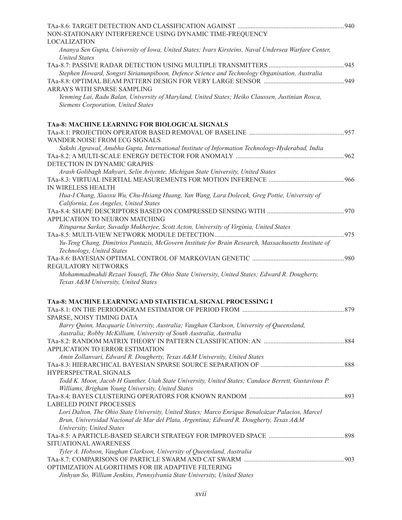| NON-STATIONARY INTERFERENCE USING DYNAMIC TIME-FREQUENCY                                             |  |
|------------------------------------------------------------------------------------------------------|--|
| <b>LOCALIZATION</b>                                                                                  |  |
| Ananya Sen Gupta, University of Iowa, United States; Ivars Kirsteins, Naval Undersea Warfare Center, |  |
| <b>United States</b>                                                                                 |  |
|                                                                                                      |  |
| Stephen Howard, Songsri Sirianunpiboon, Defence Science and Technology Organisation, Australia       |  |
|                                                                                                      |  |
| ARRAYS WITH SPARSE SAMPLING                                                                          |  |
| Yenming Lai, Radu Balan, University of Maryland, United States; Heiko Claussen, Justinian Rosca,     |  |
| Siemens Corporation, United States                                                                   |  |
| TAa-8: MACHINE LEARNING FOR BIOLOGICAL SIGNALS                                                       |  |
|                                                                                                      |  |
| WANDER NOISE FROM ECG SIGNALS                                                                        |  |
| Sakshi Agrawal, Anubha Gupta, International Institute of Information Technology-Hyderabad, India     |  |
|                                                                                                      |  |
| DETECTION IN DYNAMIC GRAPHS                                                                          |  |
| Arash Golibagh Mahyari, Selin Aviyente, Michigan State University, United States                     |  |
|                                                                                                      |  |
| IN WIRELESS HEALTH                                                                                   |  |
| Hua-I Chang, Xiaoxu Wu, Chu-Hsiang Huang, Yan Wang, Lara Dolecek, Greg Pottie, University of         |  |
| California, Los Angeles, United States                                                               |  |
|                                                                                                      |  |
| APPLICATION TO NEURON MATCHING                                                                       |  |
| Rituparna Sarkar, Suvadip Mukherjee, Scott Acton, University of Virginia, United States              |  |
| Yu-Teng Chang, Dimitrios Pantazis, McGovern Institute for Brain Research, Massachusetts Institute of |  |
| Technology, United States                                                                            |  |
|                                                                                                      |  |
| REGULATORY NETWORKS                                                                                  |  |
| Mohammadmahdi Rezaei Yousefi, The Ohio State University, United States; Edward R. Dougherty,         |  |
| Texas A&M University, United States                                                                  |  |
| TAa-8: MACHINE LEARNING AND STATISTICAL SIGNAL PROCESSING I                                          |  |
|                                                                                                      |  |
| SPARSE, NOISY TIMING DATA                                                                            |  |
| Barry Quinn, Macquarie University, Australia; Vaughan Clarkson, University of Queensland,            |  |
| Australia; Robby McKilliam, University of South Australia, Australia                                 |  |
|                                                                                                      |  |
| APPLICATION TO ERROR ESTIMATION                                                                      |  |
| Amin Zollanvari, Edward R. Dougherty, Texas A&M University, United States                            |  |
|                                                                                                      |  |
| HYPERSPECTRAL SIGNALS                                                                                |  |
| Todd K. Moon, Jacob H Gunther, Utah State University, United States; Candace Berrett, Gustavious P.  |  |
| Williams, Brigham Young University, United States                                                    |  |
|                                                                                                      |  |
| <b>LABELED POINT PROCESSES</b>                                                                       |  |
| Lori Dalton, The Ohio State University, United States; Marco Enrique Benalcázar Palacios, Marcel     |  |
| Brun, Universidad Nacional de Mar del Plata, Argentina; Edward R. Dougherty, Texas A&M               |  |
| University, United States                                                                            |  |
|                                                                                                      |  |
| SITUATIONAL AWARENESS                                                                                |  |
| Tyler A. Hobson, Vaughan Clarkson, University of Queensland, Australia                               |  |
|                                                                                                      |  |
| OPTIMIZATION ALGORITHMS FOR IIR ADAPTIVE FILTERING                                                   |  |
| Jinhyun So, William Jenkins, Pennsylvania State University, United States                            |  |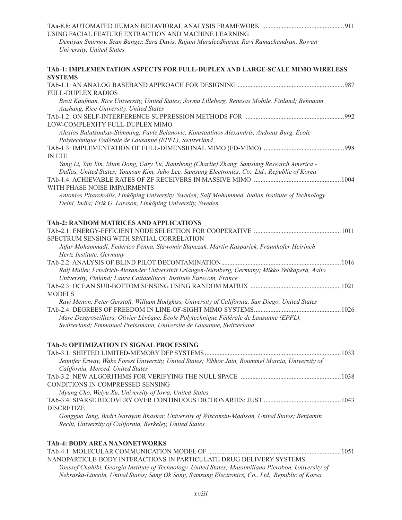| USING FACIAL FEATURE EXTRACTION AND MACHINE LEARNING                                                  |      |
|-------------------------------------------------------------------------------------------------------|------|
| Demiyan Smirnov, Sean Banger, Sara Davis, Rajani Muraleedharan, Ravi Ramachandran, Rowan              |      |
| University, United States                                                                             |      |
|                                                                                                       |      |
| TAb-1: IMPLEMENTATION ASPECTS FOR FULL-DUPLEX AND LARGE-SCALE MIMO WIRELESS<br><b>SYSTEMS</b>         |      |
|                                                                                                       |      |
| <b>FULL-DUPLEX RADIOS</b>                                                                             |      |
| Brett Kaufman, Rice University, United States; Jorma Lilleberg, Renesas Mobile, Finland; Behnaam      |      |
| Aazhang, Rice University, United States                                                               |      |
|                                                                                                       | .992 |
| LOW-COMPLEXITY FULL-DUPLEX MIMO                                                                       |      |
| Alexios Balatsoukas-Stimming, Pavle Belanovic, Konstantinos Alexandris, Andreas Burg, École           |      |
| Polytechnique Fédérale de Lausanne (EPFL), Switzerland                                                |      |
| <b>IN LTE</b>                                                                                         |      |
| Yang Li, Yan Xin, Mian Dong, Gary Xu, Jianzhong (Charlie) Zhang, Samsung Research America -           |      |
| Dallas, United States; Younsun Kim, Juho Lee, Samsung Electronics, Co., Ltd., Republic of Korea       |      |
|                                                                                                       |      |
| WITH PHASE NOISE IMPAIRMENTS                                                                          |      |
| Antonios Pitarokoilis, Linköping University, Sweden; Saif Mohammed, Indian Institute of Technology    |      |
| Delhi, India; Erik G. Larsson, Linköping University, Sweden                                           |      |
|                                                                                                       |      |
| TAb-2: RANDOM MATRICES AND APPLICATIONS                                                               |      |
|                                                                                                       |      |
| SPECTRUM SENSING WITH SPATIAL CORRELATION                                                             |      |
| Jafar Mohammadi, Federico Penna, Slawomir Stanczak, Martin Kasparick, Fraunhofer Heirinch             |      |
| Hertz Institute, Germany                                                                              |      |
|                                                                                                       |      |
| Ralf Müller, Friedrich-Alexander Universität Erlangen-Nürnberg, Germany; Mikko Vehkaperä, Aalto       |      |
| University, Finland; Laura Cottatellucci, Institute Eurecom, France                                   |      |
| <b>MODELS</b>                                                                                         |      |
| Ravi Menon, Peter Gerstoft, William Hodgkiss, University of California, San Diego, United States      |      |
|                                                                                                       |      |
| Marc Desgroseilliers, Olivier Lévêque, École Polytechnique Fédérale de Lausanne (EPFL),               |      |
| Switzerland; Emmanuel Preissmann, Universite de Lausanne, Switzerland                                 |      |
|                                                                                                       |      |
| TAb-3: OPTIMIZATION IN SIGNAL PROCESSING                                                              |      |
|                                                                                                       |      |
| Jennifer Erway, Wake Forest University, United States; Vibhor Jain, Roummel Marcia, University of     |      |
| California, Merced, United States                                                                     |      |
|                                                                                                       |      |
| CONDITIONS IN COMPRESSED SENSING                                                                      |      |
| Myung Cho, Weiyu Xu, University of Iowa, United States                                                |      |
| <b>DISCRETIZE</b>                                                                                     |      |
| Gongguo Tang, Badri Narayan Bhaskar, University of Wisconsin-Madison, United States; Benjamin         |      |
| Recht, University of California, Berkeley, United States                                              |      |
|                                                                                                       |      |
| <b>TAb-4: BODY AREA NANONETWORKS</b>                                                                  |      |
|                                                                                                       |      |
| NANOPARTICLE-BODY INTERACTIONS IN PARTICULATE DRUG DELIVERY SYSTEMS                                   |      |
| Youssef Chahibi, Georgia Institute of Technology, United States; Massimiliano Pierobon, University of |      |
| Nebraska-Lincoln, United States; Sang Ok Song, Samsung Electronics, Co., Ltd., Republic of Korea      |      |
|                                                                                                       |      |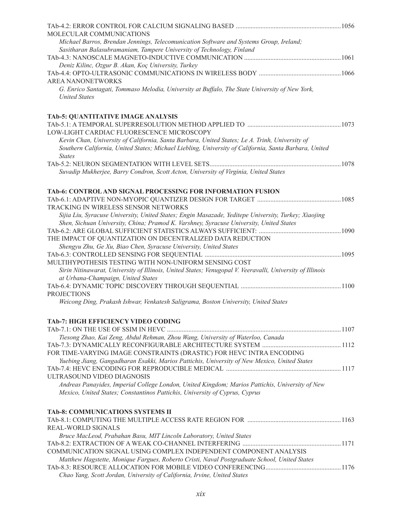| MOLECULAR COMMUNICATIONS                                                                                                                        |  |
|-------------------------------------------------------------------------------------------------------------------------------------------------|--|
| Michael Barros, Brendan Jennings, Telecomunication Software and Systems Group, Ireland;                                                         |  |
| Sasitharan Balasubramaniam, Tampere University of Technology, Finland                                                                           |  |
|                                                                                                                                                 |  |
| Deniz Kilinc, Ozgur B. Akan, Koç University, Turkey                                                                                             |  |
| <b>AREA NANONETWORKS</b>                                                                                                                        |  |
| G. Enrico Santagati, Tommaso Melodia, University at Buffalo, The State University of New York,                                                  |  |
| <b>United States</b>                                                                                                                            |  |
| TAb-5: QUANTITATIVE IMAGE ANALYSIS                                                                                                              |  |
|                                                                                                                                                 |  |
| LOW-LIGHT CARDIAC FLUORESCENCE MICROSCOPY                                                                                                       |  |
| Kevin Chan, University of California, Santa Barbara, United States; Le A. Trinh, University of                                                  |  |
| Southern California, United States; Michael Liebling, University of California, Santa Barbara, United<br><b>States</b>                          |  |
|                                                                                                                                                 |  |
| Suvadip Mukherjee, Barry Condron, Scott Acton, University of Virginia, United States                                                            |  |
| TAb-6: CONTROL AND SIGNAL PROCESSING FOR INFORMATION FUSION                                                                                     |  |
|                                                                                                                                                 |  |
| TRACKING IN WIRELESS SENSOR NETWORKS                                                                                                            |  |
| Sijia Liu, Syracuse University, United States; Engin Masazade, Yeditepe University, Turkey; Xiaojing                                            |  |
| Shen, Sichuan University, China; Pramod K. Varshney, Syracuse University, United States                                                         |  |
|                                                                                                                                                 |  |
| THE IMPACT OF QUANTIZATION ON DECENTRALIZED DATA REDUCTION<br>Shengyu Zhu, Ge Xu, Biao Chen, Syracuse University, United States                 |  |
|                                                                                                                                                 |  |
| MULTIHYPOTHESIS TESTING WITH NON-UNIFORM SENSING COST                                                                                           |  |
| Sirin Nitinawarat, University of Illinois, United States; Venugopal V. Veeravalli, University of Illinois<br>at Urbana-Champaign, United States |  |
|                                                                                                                                                 |  |
| <b>PROJECTIONS</b>                                                                                                                              |  |
| Weicong Ding, Prakash Ishwar, Venkatesh Saligrama, Boston University, United States                                                             |  |
| TAb-7: HIGH EFFICIENCY VIDEO CODING                                                                                                             |  |
|                                                                                                                                                 |  |
| Tiesong Zhao, Kai Zeng, Abdul Rehman, Zhou Wang, University of Waterloo, Canada                                                                 |  |
|                                                                                                                                                 |  |
| FOR TIME-VARYING IMAGE CONSTRAINTS (DRASTIC) FOR HEVC INTRA ENCODING                                                                            |  |
| Yuebing Jiang, Gangadharan Esakki, Marios Pattichis, University of New Mexico, United States                                                    |  |
| ULTRASOUND VIDEO DIAGNOSIS                                                                                                                      |  |
| Andreas Panayides, Imperial College London, United Kingdom; Marios Pattichis, University of New                                                 |  |
| Mexico, United States; Constantinos Pattichis, University of Cyprus, Cyprus                                                                     |  |
| <b>TAb-8: COMMUNICATIONS SYSTEMS II</b>                                                                                                         |  |
|                                                                                                                                                 |  |
| REAL-WORLD SIGNALS                                                                                                                              |  |
| Bruce MacLeod, Prabahan Basu, MIT Lincoln Laboratory, United States                                                                             |  |
|                                                                                                                                                 |  |
| COMMUNICATION SIGNAL USING COMPLEX INDEPENDENT COMPONENT ANALYSIS                                                                               |  |
| Matthew Hagstette, Monique Fargues, Roberto Cristi, Naval Postgraduate School, United States                                                    |  |
| Chao Yang, Scott Jordan, University of California, Irvine, United States                                                                        |  |
|                                                                                                                                                 |  |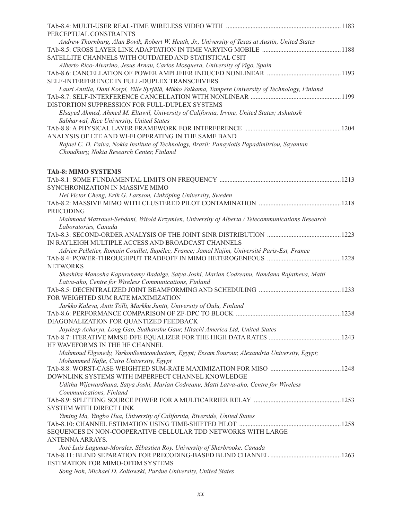| PERCEPTUAL CONSTRAINTS                                                                             |  |
|----------------------------------------------------------------------------------------------------|--|
| Andrew Thornburg, Alan Bovik, Robert W. Heath, Jr., University of Texas at Austin, United States   |  |
|                                                                                                    |  |
| SATELLITE CHANNELS WITH OUTDATED AND STATISTICAL CSIT                                              |  |
| Alberto Rico-Alvarino, Jesus Arnau, Carlos Mosquera, University of Vigo, Spain                     |  |
|                                                                                                    |  |
| SELF-INTERFERENCE IN FULL-DUPLEX TRANSCEIVERS                                                      |  |
| Lauri Anttila, Dani Korpi, Ville Syrjälä, Mikko Valkama, Tampere University of Technology, Finland |  |
|                                                                                                    |  |
| DISTORTION SUPPRESSION FOR FULL-DUPLEX SYSTEMS                                                     |  |
| Elsayed Ahmed, Ahmed M. Eltawil, University of California, Irvine, United States; Ashutosh         |  |
| Sabharwal, Rice University, United States                                                          |  |
| ANALYSIS OF LTE AND WI-FI OPERATING IN THE SAME BAND                                               |  |
| Rafael C. D. Paiva, Nokia Institute of Technology, Brazil; Panayiotis Papadimitriou, Sayantan      |  |
| Choudhury, Nokia Research Center, Finland                                                          |  |
| <b>TAb-8: MIMO SYSTEMS</b>                                                                         |  |
|                                                                                                    |  |
| SYNCHRONIZATION IN MASSIVE MIMO                                                                    |  |
| Hei Victor Cheng, Erik G. Larsson, Linköping University, Sweden                                    |  |
|                                                                                                    |  |
| <b>PRECODING</b>                                                                                   |  |
| Mahmood Mazrouei-Sebdani, Witold Krzymien, University of Alberta / Telecommunications Research     |  |
| Laboratories, Canada                                                                               |  |
|                                                                                                    |  |
| IN RAYLEIGH MULTIPLE ACCESS AND BROADCAST CHANNELS                                                 |  |
| Adrien Pelletier, Romain Couillet, Supélec, France; Jamal Najim, Université Paris-Est, France      |  |
|                                                                                                    |  |
| <b>NETWORKS</b>                                                                                    |  |
| Shashika Manosha Kapuruhamy Badalge, Satya Joshi, Marian Codreanu, Nandana Rajatheva, Matti        |  |
| Latva-aho, Centre for Wireless Communications, Finland                                             |  |
| FOR WEIGHTED SUM RATE MAXIMIZATION                                                                 |  |
| Jarkko Kaleva, Antti Tölli, Markku Juntti, University of Oulu, Finland                             |  |
|                                                                                                    |  |
| DIAGONALIZATION FOR QUANTIZED FEEDBACK                                                             |  |
| Joydeep Acharya, Long Gao, Sudhanshu Gaur, Hitachi America Ltd, United States                      |  |
|                                                                                                    |  |
| HF WAVEFORMS IN THE HF CHANNEL                                                                     |  |
| Mahmoud Elgenedy, VarkonSemiconductors, Egypt; Essam Sourour, Alexandria University, Egypt;        |  |
| Mohammed Nafie, Cairo University, Egypt                                                            |  |
|                                                                                                    |  |
| DOWNLINK SYSTEMS WITH IMPERFECT CHANNEL KNOWLEDGE                                                  |  |
| Uditha Wijewardhana, Satya Joshi, Marian Codreanu, Matti Latva-aho, Centre for Wireless            |  |
| Communications, Finland                                                                            |  |
|                                                                                                    |  |
| <b>SYSTEM WITH DIRECT LINK</b>                                                                     |  |
| Yiming Ma, Yingbo Hua, University of California, Riverside, United States                          |  |
|                                                                                                    |  |
| SEQUENCES IN NON-COOPERATIVE CELLULAR TDD NETWORKS WITH LARGE                                      |  |
| ANTENNA ARRAYS.                                                                                    |  |
| José Luis Lagunas-Morales, Sébastien Roy, University of Sherbrooke, Canada                         |  |
| <b>ESTIMATION FOR MIMO-OFDM SYSTEMS</b>                                                            |  |
| Song Noh, Michael D. Zoltowski, Purdue University, United States                                   |  |
|                                                                                                    |  |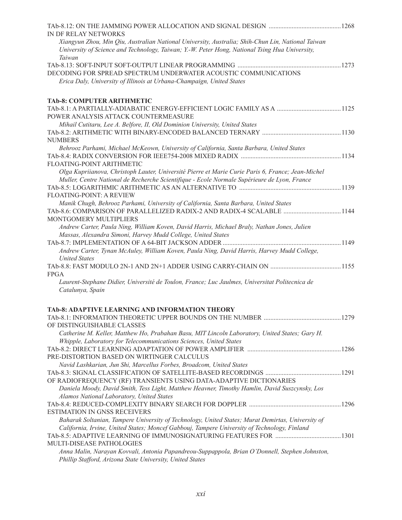| Xiangyun Zhou, Min Qiu, Australian National University, Australia; Shih-Chun Lin, National Taiwan<br>University of Science and Technology, Taiwan; Y.-W. Peter Hong, National Tsing Hua University,<br>Taiwan<br>Erica Daly, University of Illinois at Urbana-Champaign, United States<br>Mihail Cutitaru, Lee A. Belfore, II, Old Dominion University, United States<br>Behrooz Parhami, Michael McKeown, University of California, Santa Barbara, United States<br>Olga Kupriianova, Christoph Lauter, Université Pierre et Marie Curie Paris 6, France; Jean-Michel<br>Muller, Centre National de Recherche Scientifique - Ecole Normale Supérieure de Lyon, France<br>Manik Chugh, Behrooz Parhami, University of California, Santa Barbara, United States<br>TAb-8.6: COMPARISON OF PARALLELIZED RADIX-2 AND RADIX-4 SCALABLE  1144<br>Andrew Carter, Paula Ning, William Koven, David Harris, Michael Braly, Nathan Jones, Julien<br>Massas, Alexandra Simoni, Harvey Mudd College, United States<br>Andrew Carter, Tynan McAuley, William Koven, Paula Ning, David Harris, Harvey Mudd College,<br><b>United States</b><br><b>FPGA</b><br>Laurent-Stephane Didier, Université de Toulon, France; Luc Jaulmes, Universitat Politecnica de<br>Catalunya, Spain<br>TAb-8: ADAPTIVE LEARNING AND INFORMATION THEORY<br>OF DISTINGUISHABLE CLASSES<br>Catherine M. Keller, Matthew Ho, Prabahan Basu, MIT Lincoln Laboratory, United States; Gary H.<br>Whipple, Laboratory for Telecommunications Sciences, United States<br>PRE-DISTORTION BASED ON WIRTINGER CALCULUS<br>Navid Lashkarian, Jun Shi, Marcellus Forbes, Broadcom, United States<br>OF RADIOFREQUENCY (RF) TRANSIENTS USING DATA-ADAPTIVE DICTIONARIES<br>Daniela Moody, David Smith, Tess Light, Matthew Heavner, Timothy Hamlin, David Suszcynsky, Los<br>Alamos National Laboratory, United States<br><b>ESTIMATION IN GNSS RECEIVERS</b><br>Baharak Soltanian, Tampere University of Technology, United States; Murat Demirtas, University of<br>California, Irvine, United States; Moncef Gabbouj, Tampere University of Technology, Finland<br>Anna Malin, Narayan Kovvali, Antonia Papandreou-Suppappola, Brian O'Donnell, Stephen Johnston,<br>Phillip Stafford, Arizona State University, United States | IN DF RELAY NETWORKS                                            |  |
|------------------------------------------------------------------------------------------------------------------------------------------------------------------------------------------------------------------------------------------------------------------------------------------------------------------------------------------------------------------------------------------------------------------------------------------------------------------------------------------------------------------------------------------------------------------------------------------------------------------------------------------------------------------------------------------------------------------------------------------------------------------------------------------------------------------------------------------------------------------------------------------------------------------------------------------------------------------------------------------------------------------------------------------------------------------------------------------------------------------------------------------------------------------------------------------------------------------------------------------------------------------------------------------------------------------------------------------------------------------------------------------------------------------------------------------------------------------------------------------------------------------------------------------------------------------------------------------------------------------------------------------------------------------------------------------------------------------------------------------------------------------------------------------------------------------------------------------------------------------------------------------------------------------------------------------------------------------------------------------------------------------------------------------------------------------------------------------------------------------------------------------------------------------------------------------------------------------------------------------------------------------------------------|-----------------------------------------------------------------|--|
|                                                                                                                                                                                                                                                                                                                                                                                                                                                                                                                                                                                                                                                                                                                                                                                                                                                                                                                                                                                                                                                                                                                                                                                                                                                                                                                                                                                                                                                                                                                                                                                                                                                                                                                                                                                                                                                                                                                                                                                                                                                                                                                                                                                                                                                                                    |                                                                 |  |
|                                                                                                                                                                                                                                                                                                                                                                                                                                                                                                                                                                                                                                                                                                                                                                                                                                                                                                                                                                                                                                                                                                                                                                                                                                                                                                                                                                                                                                                                                                                                                                                                                                                                                                                                                                                                                                                                                                                                                                                                                                                                                                                                                                                                                                                                                    |                                                                 |  |
|                                                                                                                                                                                                                                                                                                                                                                                                                                                                                                                                                                                                                                                                                                                                                                                                                                                                                                                                                                                                                                                                                                                                                                                                                                                                                                                                                                                                                                                                                                                                                                                                                                                                                                                                                                                                                                                                                                                                                                                                                                                                                                                                                                                                                                                                                    | DECODING FOR SPREAD SPECTRUM UNDERWATER ACOUSTIC COMMUNICATIONS |  |
|                                                                                                                                                                                                                                                                                                                                                                                                                                                                                                                                                                                                                                                                                                                                                                                                                                                                                                                                                                                                                                                                                                                                                                                                                                                                                                                                                                                                                                                                                                                                                                                                                                                                                                                                                                                                                                                                                                                                                                                                                                                                                                                                                                                                                                                                                    | <b>TAb-8: COMPUTER ARITHMETIC</b>                               |  |
|                                                                                                                                                                                                                                                                                                                                                                                                                                                                                                                                                                                                                                                                                                                                                                                                                                                                                                                                                                                                                                                                                                                                                                                                                                                                                                                                                                                                                                                                                                                                                                                                                                                                                                                                                                                                                                                                                                                                                                                                                                                                                                                                                                                                                                                                                    |                                                                 |  |
|                                                                                                                                                                                                                                                                                                                                                                                                                                                                                                                                                                                                                                                                                                                                                                                                                                                                                                                                                                                                                                                                                                                                                                                                                                                                                                                                                                                                                                                                                                                                                                                                                                                                                                                                                                                                                                                                                                                                                                                                                                                                                                                                                                                                                                                                                    | POWER ANALYSIS ATTACK COUNTERMEASURE                            |  |
|                                                                                                                                                                                                                                                                                                                                                                                                                                                                                                                                                                                                                                                                                                                                                                                                                                                                                                                                                                                                                                                                                                                                                                                                                                                                                                                                                                                                                                                                                                                                                                                                                                                                                                                                                                                                                                                                                                                                                                                                                                                                                                                                                                                                                                                                                    |                                                                 |  |
|                                                                                                                                                                                                                                                                                                                                                                                                                                                                                                                                                                                                                                                                                                                                                                                                                                                                                                                                                                                                                                                                                                                                                                                                                                                                                                                                                                                                                                                                                                                                                                                                                                                                                                                                                                                                                                                                                                                                                                                                                                                                                                                                                                                                                                                                                    |                                                                 |  |
|                                                                                                                                                                                                                                                                                                                                                                                                                                                                                                                                                                                                                                                                                                                                                                                                                                                                                                                                                                                                                                                                                                                                                                                                                                                                                                                                                                                                                                                                                                                                                                                                                                                                                                                                                                                                                                                                                                                                                                                                                                                                                                                                                                                                                                                                                    | <b>NUMBERS</b>                                                  |  |
|                                                                                                                                                                                                                                                                                                                                                                                                                                                                                                                                                                                                                                                                                                                                                                                                                                                                                                                                                                                                                                                                                                                                                                                                                                                                                                                                                                                                                                                                                                                                                                                                                                                                                                                                                                                                                                                                                                                                                                                                                                                                                                                                                                                                                                                                                    |                                                                 |  |
|                                                                                                                                                                                                                                                                                                                                                                                                                                                                                                                                                                                                                                                                                                                                                                                                                                                                                                                                                                                                                                                                                                                                                                                                                                                                                                                                                                                                                                                                                                                                                                                                                                                                                                                                                                                                                                                                                                                                                                                                                                                                                                                                                                                                                                                                                    |                                                                 |  |
|                                                                                                                                                                                                                                                                                                                                                                                                                                                                                                                                                                                                                                                                                                                                                                                                                                                                                                                                                                                                                                                                                                                                                                                                                                                                                                                                                                                                                                                                                                                                                                                                                                                                                                                                                                                                                                                                                                                                                                                                                                                                                                                                                                                                                                                                                    | FLOATING-POINT ARITHMETIC                                       |  |
|                                                                                                                                                                                                                                                                                                                                                                                                                                                                                                                                                                                                                                                                                                                                                                                                                                                                                                                                                                                                                                                                                                                                                                                                                                                                                                                                                                                                                                                                                                                                                                                                                                                                                                                                                                                                                                                                                                                                                                                                                                                                                                                                                                                                                                                                                    |                                                                 |  |
|                                                                                                                                                                                                                                                                                                                                                                                                                                                                                                                                                                                                                                                                                                                                                                                                                                                                                                                                                                                                                                                                                                                                                                                                                                                                                                                                                                                                                                                                                                                                                                                                                                                                                                                                                                                                                                                                                                                                                                                                                                                                                                                                                                                                                                                                                    |                                                                 |  |
|                                                                                                                                                                                                                                                                                                                                                                                                                                                                                                                                                                                                                                                                                                                                                                                                                                                                                                                                                                                                                                                                                                                                                                                                                                                                                                                                                                                                                                                                                                                                                                                                                                                                                                                                                                                                                                                                                                                                                                                                                                                                                                                                                                                                                                                                                    |                                                                 |  |
|                                                                                                                                                                                                                                                                                                                                                                                                                                                                                                                                                                                                                                                                                                                                                                                                                                                                                                                                                                                                                                                                                                                                                                                                                                                                                                                                                                                                                                                                                                                                                                                                                                                                                                                                                                                                                                                                                                                                                                                                                                                                                                                                                                                                                                                                                    | <b>FLOATING-POINT: A REVIEW</b>                                 |  |
|                                                                                                                                                                                                                                                                                                                                                                                                                                                                                                                                                                                                                                                                                                                                                                                                                                                                                                                                                                                                                                                                                                                                                                                                                                                                                                                                                                                                                                                                                                                                                                                                                                                                                                                                                                                                                                                                                                                                                                                                                                                                                                                                                                                                                                                                                    |                                                                 |  |
|                                                                                                                                                                                                                                                                                                                                                                                                                                                                                                                                                                                                                                                                                                                                                                                                                                                                                                                                                                                                                                                                                                                                                                                                                                                                                                                                                                                                                                                                                                                                                                                                                                                                                                                                                                                                                                                                                                                                                                                                                                                                                                                                                                                                                                                                                    |                                                                 |  |
|                                                                                                                                                                                                                                                                                                                                                                                                                                                                                                                                                                                                                                                                                                                                                                                                                                                                                                                                                                                                                                                                                                                                                                                                                                                                                                                                                                                                                                                                                                                                                                                                                                                                                                                                                                                                                                                                                                                                                                                                                                                                                                                                                                                                                                                                                    | MONTGOMERY MULTIPLIERS                                          |  |
|                                                                                                                                                                                                                                                                                                                                                                                                                                                                                                                                                                                                                                                                                                                                                                                                                                                                                                                                                                                                                                                                                                                                                                                                                                                                                                                                                                                                                                                                                                                                                                                                                                                                                                                                                                                                                                                                                                                                                                                                                                                                                                                                                                                                                                                                                    |                                                                 |  |
|                                                                                                                                                                                                                                                                                                                                                                                                                                                                                                                                                                                                                                                                                                                                                                                                                                                                                                                                                                                                                                                                                                                                                                                                                                                                                                                                                                                                                                                                                                                                                                                                                                                                                                                                                                                                                                                                                                                                                                                                                                                                                                                                                                                                                                                                                    |                                                                 |  |
|                                                                                                                                                                                                                                                                                                                                                                                                                                                                                                                                                                                                                                                                                                                                                                                                                                                                                                                                                                                                                                                                                                                                                                                                                                                                                                                                                                                                                                                                                                                                                                                                                                                                                                                                                                                                                                                                                                                                                                                                                                                                                                                                                                                                                                                                                    |                                                                 |  |
|                                                                                                                                                                                                                                                                                                                                                                                                                                                                                                                                                                                                                                                                                                                                                                                                                                                                                                                                                                                                                                                                                                                                                                                                                                                                                                                                                                                                                                                                                                                                                                                                                                                                                                                                                                                                                                                                                                                                                                                                                                                                                                                                                                                                                                                                                    |                                                                 |  |
|                                                                                                                                                                                                                                                                                                                                                                                                                                                                                                                                                                                                                                                                                                                                                                                                                                                                                                                                                                                                                                                                                                                                                                                                                                                                                                                                                                                                                                                                                                                                                                                                                                                                                                                                                                                                                                                                                                                                                                                                                                                                                                                                                                                                                                                                                    |                                                                 |  |
|                                                                                                                                                                                                                                                                                                                                                                                                                                                                                                                                                                                                                                                                                                                                                                                                                                                                                                                                                                                                                                                                                                                                                                                                                                                                                                                                                                                                                                                                                                                                                                                                                                                                                                                                                                                                                                                                                                                                                                                                                                                                                                                                                                                                                                                                                    |                                                                 |  |
|                                                                                                                                                                                                                                                                                                                                                                                                                                                                                                                                                                                                                                                                                                                                                                                                                                                                                                                                                                                                                                                                                                                                                                                                                                                                                                                                                                                                                                                                                                                                                                                                                                                                                                                                                                                                                                                                                                                                                                                                                                                                                                                                                                                                                                                                                    |                                                                 |  |
|                                                                                                                                                                                                                                                                                                                                                                                                                                                                                                                                                                                                                                                                                                                                                                                                                                                                                                                                                                                                                                                                                                                                                                                                                                                                                                                                                                                                                                                                                                                                                                                                                                                                                                                                                                                                                                                                                                                                                                                                                                                                                                                                                                                                                                                                                    |                                                                 |  |
|                                                                                                                                                                                                                                                                                                                                                                                                                                                                                                                                                                                                                                                                                                                                                                                                                                                                                                                                                                                                                                                                                                                                                                                                                                                                                                                                                                                                                                                                                                                                                                                                                                                                                                                                                                                                                                                                                                                                                                                                                                                                                                                                                                                                                                                                                    |                                                                 |  |
|                                                                                                                                                                                                                                                                                                                                                                                                                                                                                                                                                                                                                                                                                                                                                                                                                                                                                                                                                                                                                                                                                                                                                                                                                                                                                                                                                                                                                                                                                                                                                                                                                                                                                                                                                                                                                                                                                                                                                                                                                                                                                                                                                                                                                                                                                    |                                                                 |  |
|                                                                                                                                                                                                                                                                                                                                                                                                                                                                                                                                                                                                                                                                                                                                                                                                                                                                                                                                                                                                                                                                                                                                                                                                                                                                                                                                                                                                                                                                                                                                                                                                                                                                                                                                                                                                                                                                                                                                                                                                                                                                                                                                                                                                                                                                                    |                                                                 |  |
|                                                                                                                                                                                                                                                                                                                                                                                                                                                                                                                                                                                                                                                                                                                                                                                                                                                                                                                                                                                                                                                                                                                                                                                                                                                                                                                                                                                                                                                                                                                                                                                                                                                                                                                                                                                                                                                                                                                                                                                                                                                                                                                                                                                                                                                                                    |                                                                 |  |
|                                                                                                                                                                                                                                                                                                                                                                                                                                                                                                                                                                                                                                                                                                                                                                                                                                                                                                                                                                                                                                                                                                                                                                                                                                                                                                                                                                                                                                                                                                                                                                                                                                                                                                                                                                                                                                                                                                                                                                                                                                                                                                                                                                                                                                                                                    |                                                                 |  |
|                                                                                                                                                                                                                                                                                                                                                                                                                                                                                                                                                                                                                                                                                                                                                                                                                                                                                                                                                                                                                                                                                                                                                                                                                                                                                                                                                                                                                                                                                                                                                                                                                                                                                                                                                                                                                                                                                                                                                                                                                                                                                                                                                                                                                                                                                    |                                                                 |  |
|                                                                                                                                                                                                                                                                                                                                                                                                                                                                                                                                                                                                                                                                                                                                                                                                                                                                                                                                                                                                                                                                                                                                                                                                                                                                                                                                                                                                                                                                                                                                                                                                                                                                                                                                                                                                                                                                                                                                                                                                                                                                                                                                                                                                                                                                                    |                                                                 |  |
|                                                                                                                                                                                                                                                                                                                                                                                                                                                                                                                                                                                                                                                                                                                                                                                                                                                                                                                                                                                                                                                                                                                                                                                                                                                                                                                                                                                                                                                                                                                                                                                                                                                                                                                                                                                                                                                                                                                                                                                                                                                                                                                                                                                                                                                                                    |                                                                 |  |
|                                                                                                                                                                                                                                                                                                                                                                                                                                                                                                                                                                                                                                                                                                                                                                                                                                                                                                                                                                                                                                                                                                                                                                                                                                                                                                                                                                                                                                                                                                                                                                                                                                                                                                                                                                                                                                                                                                                                                                                                                                                                                                                                                                                                                                                                                    |                                                                 |  |
|                                                                                                                                                                                                                                                                                                                                                                                                                                                                                                                                                                                                                                                                                                                                                                                                                                                                                                                                                                                                                                                                                                                                                                                                                                                                                                                                                                                                                                                                                                                                                                                                                                                                                                                                                                                                                                                                                                                                                                                                                                                                                                                                                                                                                                                                                    |                                                                 |  |
|                                                                                                                                                                                                                                                                                                                                                                                                                                                                                                                                                                                                                                                                                                                                                                                                                                                                                                                                                                                                                                                                                                                                                                                                                                                                                                                                                                                                                                                                                                                                                                                                                                                                                                                                                                                                                                                                                                                                                                                                                                                                                                                                                                                                                                                                                    |                                                                 |  |
|                                                                                                                                                                                                                                                                                                                                                                                                                                                                                                                                                                                                                                                                                                                                                                                                                                                                                                                                                                                                                                                                                                                                                                                                                                                                                                                                                                                                                                                                                                                                                                                                                                                                                                                                                                                                                                                                                                                                                                                                                                                                                                                                                                                                                                                                                    |                                                                 |  |
|                                                                                                                                                                                                                                                                                                                                                                                                                                                                                                                                                                                                                                                                                                                                                                                                                                                                                                                                                                                                                                                                                                                                                                                                                                                                                                                                                                                                                                                                                                                                                                                                                                                                                                                                                                                                                                                                                                                                                                                                                                                                                                                                                                                                                                                                                    |                                                                 |  |
|                                                                                                                                                                                                                                                                                                                                                                                                                                                                                                                                                                                                                                                                                                                                                                                                                                                                                                                                                                                                                                                                                                                                                                                                                                                                                                                                                                                                                                                                                                                                                                                                                                                                                                                                                                                                                                                                                                                                                                                                                                                                                                                                                                                                                                                                                    |                                                                 |  |
|                                                                                                                                                                                                                                                                                                                                                                                                                                                                                                                                                                                                                                                                                                                                                                                                                                                                                                                                                                                                                                                                                                                                                                                                                                                                                                                                                                                                                                                                                                                                                                                                                                                                                                                                                                                                                                                                                                                                                                                                                                                                                                                                                                                                                                                                                    |                                                                 |  |
|                                                                                                                                                                                                                                                                                                                                                                                                                                                                                                                                                                                                                                                                                                                                                                                                                                                                                                                                                                                                                                                                                                                                                                                                                                                                                                                                                                                                                                                                                                                                                                                                                                                                                                                                                                                                                                                                                                                                                                                                                                                                                                                                                                                                                                                                                    |                                                                 |  |
|                                                                                                                                                                                                                                                                                                                                                                                                                                                                                                                                                                                                                                                                                                                                                                                                                                                                                                                                                                                                                                                                                                                                                                                                                                                                                                                                                                                                                                                                                                                                                                                                                                                                                                                                                                                                                                                                                                                                                                                                                                                                                                                                                                                                                                                                                    |                                                                 |  |
|                                                                                                                                                                                                                                                                                                                                                                                                                                                                                                                                                                                                                                                                                                                                                                                                                                                                                                                                                                                                                                                                                                                                                                                                                                                                                                                                                                                                                                                                                                                                                                                                                                                                                                                                                                                                                                                                                                                                                                                                                                                                                                                                                                                                                                                                                    | MULTI-DISEASE PATHOLOGIES                                       |  |
|                                                                                                                                                                                                                                                                                                                                                                                                                                                                                                                                                                                                                                                                                                                                                                                                                                                                                                                                                                                                                                                                                                                                                                                                                                                                                                                                                                                                                                                                                                                                                                                                                                                                                                                                                                                                                                                                                                                                                                                                                                                                                                                                                                                                                                                                                    |                                                                 |  |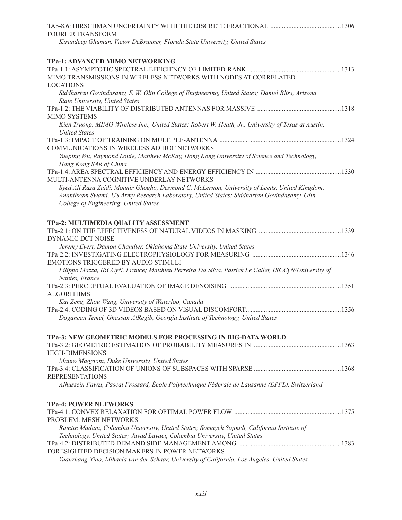| <b>FOURIER TRANSFORM</b>                                                                                             |  |
|----------------------------------------------------------------------------------------------------------------------|--|
| Kirandeep Ghuman, Victor DeBrunner, Florida State University, United States                                          |  |
| TPa-1: ADVANCED MIMO NETWORKING                                                                                      |  |
|                                                                                                                      |  |
| MIMO TRANSMISSIONS IN WIRELESS NETWORKS WITH NODES AT CORRELATED                                                     |  |
| <b>LOCATIONS</b>                                                                                                     |  |
| Siddhartan Govindasamy, F. W. Olin College of Engineering, United States; Daniel Bliss, Arizona                      |  |
| State University, United States                                                                                      |  |
|                                                                                                                      |  |
| <b>MIMO SYSTEMS</b>                                                                                                  |  |
| Kien Truong, MIMO Wireless Inc., United States; Robert W. Heath, Jr., University of Texas at Austin,                 |  |
| <b>United States</b>                                                                                                 |  |
| COMMUNICATIONS IN WIRELESS AD HOC NETWORKS                                                                           |  |
| Yueping Wu, Raymond Louie, Matthew McKay, Hong Kong University of Science and Technology,                            |  |
| Hong Kong SAR of China                                                                                               |  |
|                                                                                                                      |  |
| MULTI-ANTENNA COGNITIVE UNDERLAY NETWORKS                                                                            |  |
| Syed Ali Raza Zaidi, Mounir Ghogho, Desmond C. McLernon, University of Leeds, United Kingdom;                        |  |
| Ananthram Swami, US Army Research Laboratory, United States; Siddhartan Govindasamy, Olin                            |  |
| College of Engineering, United States                                                                                |  |
| TPa-2: MULTIMEDIA QUALITY ASSESSMENT                                                                                 |  |
|                                                                                                                      |  |
| <b>DYNAMIC DCT NOISE</b>                                                                                             |  |
| Jeremy Evert, Damon Chandler, Oklahoma State University, United States                                               |  |
|                                                                                                                      |  |
| EMOTIONS TRIGGERED BY AUDIO STIMULI                                                                                  |  |
| Filippo Mazza, IRCCyN, France; Matthieu Perreira Da Silva, Patrick Le Callet, IRCCyN/University of<br>Nantes, France |  |
|                                                                                                                      |  |
| <b>ALGORITHMS</b>                                                                                                    |  |
| Kai Zeng, Zhou Wang, University of Waterloo, Canada                                                                  |  |
|                                                                                                                      |  |
| Dogancan Temel, Ghassan AlRegib, Georgia Institute of Technology, United States                                      |  |
| TPa-3: NEW GEOMETRIC MODELS FOR PROCESSING IN BIG-DATA WORLD                                                         |  |
|                                                                                                                      |  |
| <b>HIGH-DIMENSIONS</b>                                                                                               |  |
| Mauro Maggioni, Duke University, United States                                                                       |  |
|                                                                                                                      |  |
| <b>REPRESENTATIONS</b>                                                                                               |  |
| Alhussein Fawzi, Pascal Frossard, École Polytechnique Fédérale de Lausanne (EPFL), Switzerland                       |  |
| <b>TPa-4: POWER NETWORKS</b>                                                                                         |  |
|                                                                                                                      |  |
| PROBLEM: MESH NETWORKS                                                                                               |  |
| Ramtin Madani, Columbia University, United States; Somayeh Sojoudi, California Institute of                          |  |
| Technology, United States; Javad Lavaei, Columbia University, United States                                          |  |
|                                                                                                                      |  |
| FORESIGHTED DECISION MAKERS IN POWER NETWORKS                                                                        |  |
| Yuanzhang Xiao, Mihaela van der Schaar, University of California, Los Angeles, United States                         |  |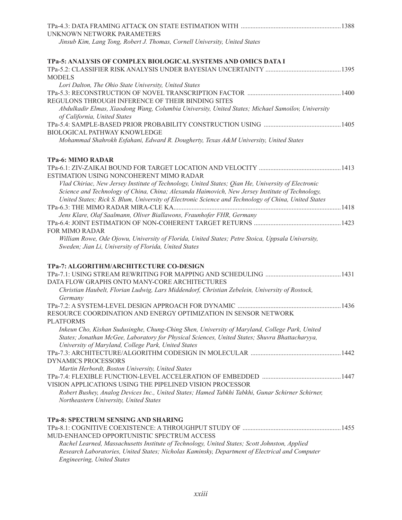| UNKNOWN NETWORK PARAMETERS                                                                                                                                                                            |  |
|-------------------------------------------------------------------------------------------------------------------------------------------------------------------------------------------------------|--|
| Jinsub Kim, Lang Tong, Robert J. Thomas, Cornell University, United States                                                                                                                            |  |
| TPa-5: ANALYSIS OF COMPLEX BIOLOGICAL SYSTEMS AND OMICS DATA I                                                                                                                                        |  |
| <b>MODELS</b>                                                                                                                                                                                         |  |
| Lori Dalton, The Ohio State University, United States                                                                                                                                                 |  |
|                                                                                                                                                                                                       |  |
| REGULONS THROUGH INFERENCE OF THEIR BINDING SITES<br>Abdulkadir Elmas, Xiaodong Wang, Columbia University, United States; Michael Samoilov, University                                                |  |
| of California, United States                                                                                                                                                                          |  |
|                                                                                                                                                                                                       |  |
| BIOLOGICAL PATHWAY KNOWLEDGE                                                                                                                                                                          |  |
| Mohammad Shahrokh Esfahani, Edward R. Dougherty, Texas A&M University, United States                                                                                                                  |  |
| <b>TPa-6: MIMO RADAR</b>                                                                                                                                                                              |  |
| ESTIMATION USING NONCOHERENT MIMO RADAR                                                                                                                                                               |  |
| Vlad Chiriac, New Jersey Institute of Technology, United States; Qian He, University of Electronic<br>Science and Technology of China, China; Alexanda Haimovich, New Jersey Institute of Technology, |  |
| United States; Rick S. Blum, University of Electronic Science and Technology of China, United States                                                                                                  |  |
|                                                                                                                                                                                                       |  |
| Jens Klare, Olaf Saalmann, Oliver Biallawons, Fraunhofer FHR, Germany                                                                                                                                 |  |
|                                                                                                                                                                                                       |  |
| <b>FOR MIMO RADAR</b>                                                                                                                                                                                 |  |
| William Rowe, Ode Ojowu, University of Florida, United States; Petre Stoica, Uppsala University,<br>Sweden; Jian Li, University of Florida, United States                                             |  |
| TPa-7: ALGORITHM/ARCHITECTURE CO-DESIGN                                                                                                                                                               |  |
|                                                                                                                                                                                                       |  |
| DATA FLOW GRAPHS ONTO MANY-CORE ARCHITECTURES                                                                                                                                                         |  |
| Christian Haubelt, Florian Ludwig, Lars Middendorf, Christian Zebelein, University of Rostock,<br>Germany                                                                                             |  |
|                                                                                                                                                                                                       |  |
| RESOURCE COORDINATION AND ENERGY OPTIMIZATION IN SENSOR NETWORK<br><b>PLATFORMS</b>                                                                                                                   |  |
| Inkeun Cho, Kishan Sudusinghe, Chung-Ching Shen, University of Maryland, College Park, United                                                                                                         |  |
| States; Jonathan McGee, Laboratory for Physical Sciences, United States; Shuvra Bhattacharyya,<br>University of Maryland, College Park, United States                                                 |  |
|                                                                                                                                                                                                       |  |
| <b>DYNAMICS PROCESSORS</b>                                                                                                                                                                            |  |
| Martin Herbordt, Boston University, United States                                                                                                                                                     |  |
|                                                                                                                                                                                                       |  |
| VISION APPLICATIONS USING THE PIPELINED VISION PROCESSOR                                                                                                                                              |  |
| Robert Bushey, Analog Devices Inc., United States; Hamed Tabkhi Tabkhi, Gunar Schirner Schirner,                                                                                                      |  |
| Northeastern University, United States                                                                                                                                                                |  |
| <b>TPa-8: SPECTRUM SENSING AND SHARING</b>                                                                                                                                                            |  |
|                                                                                                                                                                                                       |  |
| MUD-ENHANCED OPPORTUNISTIC SPECTRUM ACCESS                                                                                                                                                            |  |
| Rachel Learned, Massachusetts Institute of Technology, United States; Scott Johnston, Applied                                                                                                         |  |
| Research Laboratories, United States; Nicholas Kaminsky, Department of Electrical and Computer<br><b>Engineering, United States</b>                                                                   |  |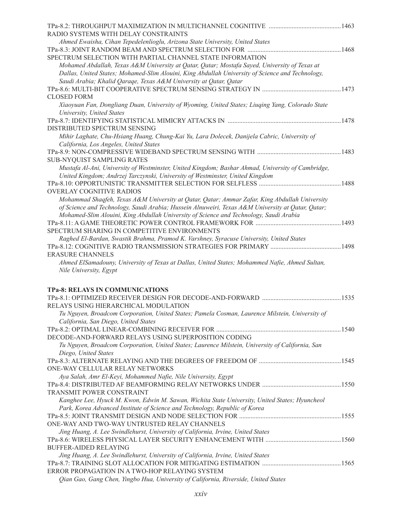| RADIO SYSTEMS WITH DELAY CONSTRAINTS                                                                                                  |  |
|---------------------------------------------------------------------------------------------------------------------------------------|--|
| Ahmed Ewaisha, Cihan Tepedelenlioglu, Arizona State University, United States                                                         |  |
|                                                                                                                                       |  |
| SPECTRUM SELECTION WITH PARTIAL CHANNEL STATE INFORMATION                                                                             |  |
| Mohamed Abdallah, Texas A&M University at Qatar, Qatar; Mostafa Sayed, University of Texas at                                         |  |
| Dallas, United States; Mohamed-Slim Alouini, King Abdullah University of Science and Technology,                                      |  |
| Saudi Arabia; Khalid Qaraqe, Texas A&M University at Qatar, Qatar                                                                     |  |
|                                                                                                                                       |  |
| <b>CLOSED FORM</b>                                                                                                                    |  |
| Xiaoyuan Fan, Dongliang Duan, University of Wyoming, United States; Liuqing Yang, Colorado State                                      |  |
| University, United States                                                                                                             |  |
| DISTRIBUTED SPECTRUM SENSING                                                                                                          |  |
|                                                                                                                                       |  |
| Mihir Laghate, Chu-Hsiang Huang, Chung-Kai Yu, Lara Dolecek, Danijela Cabric, University of<br>California, Los Angeles, United States |  |
|                                                                                                                                       |  |
| <b>SUB-NYQUIST SAMPLING RATES</b>                                                                                                     |  |
| Mustafa Al-Ani, University of Westminster, United Kingdom; Bashar Ahmad, University of Cambridge,                                     |  |
| United Kingdom; Andrzej Tarczynski, University of Westminster, United Kingdom                                                         |  |
|                                                                                                                                       |  |
| <b>OVERLAY COGNITIVE RADIOS</b>                                                                                                       |  |
| Mohammad Shaqfeh, Texas A&M University at Qatar, Qatar; Ammar Zafar, King Abdullah University                                         |  |
| of Science and Technology, Saudi Arabia; Hussein Alnuweiri, Texas A&M University at Qatar; Qatar;                                     |  |
| Mohamed-Slim Alouini, King Abdullah University of Science and Technology, Saudi Arabia                                                |  |
|                                                                                                                                       |  |
| SPECTRUM SHARING IN COMPETITIVE ENVIRONMENTS                                                                                          |  |
| Raghed El-Bardan, Swastik Brahma, Pramod K. Varshney, Syracuse University, United States                                              |  |
|                                                                                                                                       |  |
| <b>ERASURE CHANNELS</b>                                                                                                               |  |
| Ahmed ElSamadouny, University of Texas at Dallas, United States; Mohammed Nafie, Ahmed Sultan,                                        |  |
| Nile University, Egypt                                                                                                                |  |
|                                                                                                                                       |  |
| TPa-8: RELAYS IN COMMUNICATIONS                                                                                                       |  |
|                                                                                                                                       |  |
| RELAYS USING HIERARCHICAL MODULATION                                                                                                  |  |
| Tu Nguyen, Broadcom Corporation, United States; Pamela Cosman, Laurence Milstein, University of                                       |  |
| California, San Diego, United States                                                                                                  |  |
|                                                                                                                                       |  |
| DECODE-AND-FORWARD RELAYS USING SUPERPOSITION CODING                                                                                  |  |
| Tu Nguyen, Broadcom Corporation, United States; Laurence Milstein, University of California, San                                      |  |
| Diego, United States                                                                                                                  |  |
|                                                                                                                                       |  |
| ONE-WAY CELLULAR RELAY NETWORKS                                                                                                       |  |
| Aya Salah, Amr El-Keyi, Mohammed Nafie, Nile University, Egypt                                                                        |  |
|                                                                                                                                       |  |
| <b>TRANSMIT POWER CONSTRAINT</b>                                                                                                      |  |
| Kanghee Lee, Hyuck M. Kwon, Edwin M. Sawan, Wichita State University, United States; Hyuncheol                                        |  |
| Park, Korea Advanced Institute of Science and Technology, Republic of Korea                                                           |  |
|                                                                                                                                       |  |
| ONE-WAY AND TWO-WAY UNTRUSTED RELAY CHANNELS                                                                                          |  |
| Jing Huang, A. Lee Swindlehurst, University of California, Irvine, United States                                                      |  |
|                                                                                                                                       |  |
| <b>BUFFER-AIDED RELAYING</b>                                                                                                          |  |
| Jing Huang, A. Lee Swindlehurst, University of California, Irvine, United States                                                      |  |
| ERROR PROPAGATION IN A TWO-HOP RELAYING SYSTEM                                                                                        |  |
|                                                                                                                                       |  |
| Qian Gao, Gang Chen, Yingbo Hua, University of California, Riverside, United States                                                   |  |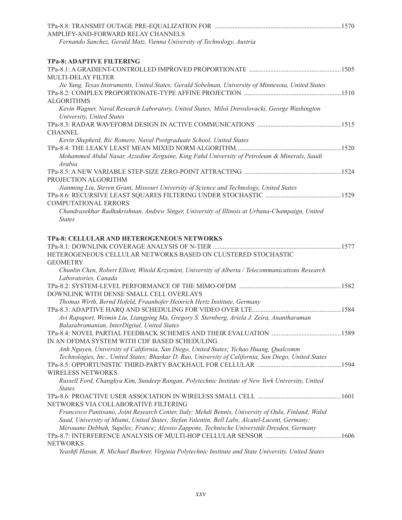| AMPLIFY-AND-FORWARD RELAY CHANNELS                                                                     |  |
|--------------------------------------------------------------------------------------------------------|--|
| Fernando Sanchez, Gerald Matz, Vienna University of Technology, Austria                                |  |
| <b>TPa-8: ADAPTIVE FILTERING</b>                                                                       |  |
|                                                                                                        |  |
| <b>MULTI-DELAY FILTER</b>                                                                              |  |
| Jie Yang, Texas Instruments, United States; Gerald Sobelman, University of Minnesota, United States    |  |
|                                                                                                        |  |
| <b>ALGORITHMS</b>                                                                                      |  |
| Kevin Wagner, Naval Research Laboratory, United States; Miloš Doroslovacki, George Washington          |  |
| University, United States                                                                              |  |
|                                                                                                        |  |
| <b>CHANNEL</b>                                                                                         |  |
| Kevin Shepherd, Ric Romero, Naval Postgraduate School, United States                                   |  |
|                                                                                                        |  |
| Mohammed Abdul Nasar, Azzedine Zerguine, King Fahd University of Petroleum & Minerals, Saudi<br>Arabia |  |
|                                                                                                        |  |
| PROJECTION ALGORITHM                                                                                   |  |
| Jianming Liu, Steven Grant, Missouri University of Science and Technology, United States               |  |
|                                                                                                        |  |
| <b>COMPUTATIONAL ERRORS</b>                                                                            |  |
| Chandrasekhar Radhakrishnan, Andrew Singer, University of Illinois at Urbana-Champaign, United         |  |
| <b>States</b>                                                                                          |  |
|                                                                                                        |  |
| TPa-8: CELLULAR AND HETEROGENEOUS NETWORKS                                                             |  |
|                                                                                                        |  |
| HETEROGENEOUS CELLULAR NETWORKS BASED ON CLUSTERED STOCHASTIC                                          |  |
| <b>GEOMETRY</b>                                                                                        |  |
| Chunlin Chen, Robert Elliott, Witold Krzymien, University of Alberta / Telecommunications Research     |  |
| Laboratories, Canada                                                                                   |  |
| DOWNLINK WITH DENSE SMALL CELL OVERLAYS                                                                |  |
|                                                                                                        |  |
| Thomas Wirth, Bernd Hofeld, Fraunhofer Heinrich Hertz Institute, Germany                               |  |
| Avi Rapaport, Weimin Liu, Liangping Ma, Gregory S. Sternberg, Ariela J. Zeira, Anantharaman            |  |
|                                                                                                        |  |
| Balasubramanian, InterDigital, United States                                                           |  |
| IN AN OFDMA SYSTEM WITH CDF BASED SCHEDULING                                                           |  |
| Anh Nguyen, University of California, San Diego, United States; Yichao Huang, Qualcomm                 |  |
| Technologies, Inc., United States; Bhaskar D. Rao, University of California, San Diego, United States  |  |
|                                                                                                        |  |
| <b>WIRELESS NETWORKS</b>                                                                               |  |
| Russell Ford, Changkyu Kim, Sundeep Rangan, Polytechnic Institute of New York University, United       |  |
| <b>States</b>                                                                                          |  |
|                                                                                                        |  |
| NETWORKS VIA COLLABORATIVE FILTERING                                                                   |  |
| Francesco Pantisano, Joint Research Center, Italy; Mehdi Bennis, University of Oulu, Finland; Walid    |  |
| Saad, University of Miami, United States; Stefan Valentin, Bell Labs, Alcatel-Lucent, Germany;         |  |
| Mérouane Debbah, Supélec, France; Alessio Zappone, Technische Universität Dresden, Germany             |  |
|                                                                                                        |  |
| <b>NETWORKS</b>                                                                                        |  |
| Yeashfi Hasan, R. Michael Buehrer, Virginia Polytechnic Institute and State University, United States  |  |
|                                                                                                        |  |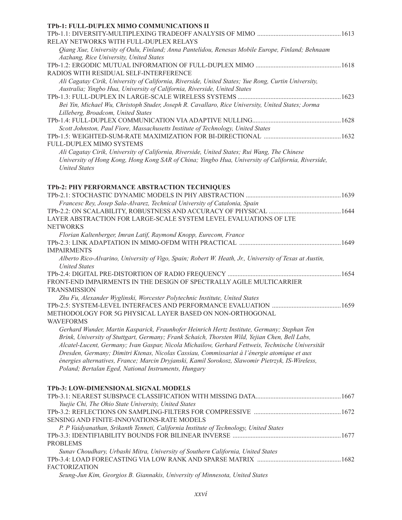| TPb-1: FULL-DUPLEX MIMO COMMUNICATIONS II                                                           |      |
|-----------------------------------------------------------------------------------------------------|------|
|                                                                                                     |      |
| RELAY NETWORKS WITH FULL-DUPLEX RELAYS                                                              |      |
| Oiang Xue, University of Oulu, Finland; Anna Pantelidou, Renesas Mobile Europe, Finland; Behnaam    |      |
| Aazhang, Rice University, United States                                                             |      |
|                                                                                                     |      |
| RADIOS WITH RESIDUAL SELF-INTERFERENCE                                                              |      |
| Ali Cagatay Cirik, University of California, Riverside, United States; Yue Rong, Curtin University, |      |
| Australia; Yingbo Hua, University of California, Riverside, United States                           |      |
|                                                                                                     |      |
| Bei Yin, Michael Wu, Christoph Studer, Joseph R. Cavallaro, Rice University, United States; Jorma   |      |
| Lilleberg, Broadcom, United States                                                                  |      |
|                                                                                                     | 1628 |
| Scott Johnston, Paul Fiore, Massachusetts Institute of Technology, United States                    |      |
|                                                                                                     |      |
| FULL-DUPLEX MIMO SYSTEMS                                                                            |      |
| Ali Cagatay Cirik, University of California, Riverside, United States; Rui Wang, The Chinese        |      |
| University of Hong Kong, Hong Kong SAR of China; Yingbo Hua, University of California, Riverside,   |      |
| <b>United States</b>                                                                                |      |

#### **TPb-2: PHY PERFORMANCE ABSTRACTION TECHNIQUES**

| Francesc Rey, Josep Sala-Alvarez, Technical University of Catalonia, Spain                             |  |
|--------------------------------------------------------------------------------------------------------|--|
|                                                                                                        |  |
| LAYER ABSTRACTION FOR LARGE-SCALE SYSTEM LEVEL EVALUATIONS OF LTE                                      |  |
| <b>NETWORKS</b>                                                                                        |  |
| Florian Kaltenberger, Imran Latif, Raymond Knopp, Eurecom, France                                      |  |
|                                                                                                        |  |
| <b>IMPAIRMENTS</b>                                                                                     |  |
| Alberto Rico-Alvarino, University of Vigo, Spain; Robert W. Heath, Jr., University of Texas at Austin, |  |
| <b>United States</b>                                                                                   |  |
|                                                                                                        |  |
| FRONT-END IMPAIRMENTS IN THE DESIGN OF SPECTRALLY AGILE MULTICARRIER                                   |  |
| <b>TRANSMISSION</b>                                                                                    |  |
| Zhu Fu, Alexander Wyglinski, Worcester Polytechnic Institute, United States                            |  |
|                                                                                                        |  |
| METHODOLOGY FOR 5G PHYSICAL LAYER BASED ON NON-ORTHOGONAL                                              |  |
| <b>WAVEFORMS</b>                                                                                       |  |
| Gerhard Wunder, Martin Kasparick, Fraunhofer Heinrich Hertz Institute, Germany; Stephan Ten            |  |
| Brink, University of Stuttgart, Germany; Frank Schaich, Thorsten Wild, Yejian Chen, Bell Labs,         |  |
| Alcatel-Lucent, Germany; Ivan Gaspar, Nicola Michailow, Gerhard Fettweis, Technische Universität       |  |
| Dresden, Germany; Dimitri Ktenas, Nicolas Cassiau, Commissariat à l'énergie atomique et aux            |  |
| énergies alternatives, France; Marcin Dryjanski, Kamil Sorokosz, Slawomir Pietrzyk, IS-Wireless,       |  |
| Poland; Bertalan Eged, National Instruments, Hungary                                                   |  |
|                                                                                                        |  |
|                                                                                                        |  |
| TPb-3: LOW-DIMENSIONAL SIGNAL MODELS                                                                   |  |
|                                                                                                        |  |
| Yuejie Chi, The Ohio State University, United States                                                   |  |
|                                                                                                        |  |
| SENSING AND FINITE-INNOVATIONS-RATE MODELS                                                             |  |
| P. P Vaidyanathan, Srikanth Tenneti, California Institute of Technology, United States                 |  |
|                                                                                                        |  |
| <b>PROBLEMS</b>                                                                                        |  |
| Sunav Choudhary, Urbashi Mitra, University of Southern California, United States                       |  |
|                                                                                                        |  |

#### FACTORIZATION

|  |  |  |  | Seung-Jun Kim, Georgios B. Giannakis, University of Minnesota, United States |  |
|--|--|--|--|------------------------------------------------------------------------------|--|
|--|--|--|--|------------------------------------------------------------------------------|--|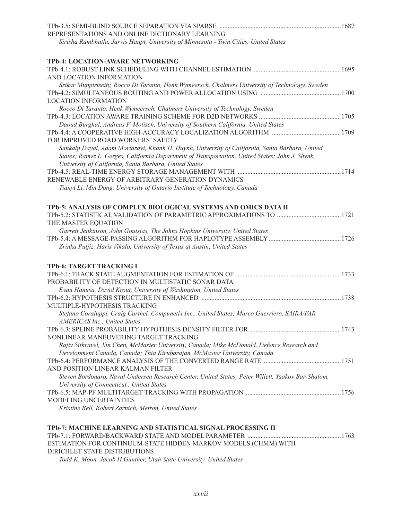| REPRESENTATIONS AND ONLINE DICTIONARY LEARNING                                                     |  |
|----------------------------------------------------------------------------------------------------|--|
| Sirisha Rambhatla, Jarvis Haupt, University of Minnesota - Twin Cities, United States              |  |
| TPb-4: LOCATION-AWARE NETWORKING                                                                   |  |
|                                                                                                    |  |
| AND LOCATION INFORMATION                                                                           |  |
| Srikar Muppirisetty, Rocco Di Taranto, Henk Wymeersch, Chalmers University of Technology, Sweden   |  |
| <b>LOCATION INFORMATION</b>                                                                        |  |
| Rocco Di Taranto, Henk Wymeersch, Chalmers University of Technology, Sweden                        |  |
|                                                                                                    |  |
| Daoud Burghal, Andreas F. Molisch, University of Southern California, United States                |  |
|                                                                                                    |  |
| FOR IMPROVED ROAD WORKERS' SAFETY                                                                  |  |
| Sankalp Dayal, Adam Mortazavi, Khanh H. Huynh, University of California, Santa Barbara, United     |  |
| States; Ramez L. Gerges, California Department of Transportation, United States; John J. Shynk,    |  |
| University of California, Santa Barbara, United States                                             |  |
|                                                                                                    |  |
| RENEWABLE ENERGY OF ARBITRARY GENERATION DYNAMICS                                                  |  |
| Tianyi Li, Min Dong, University of Ontario Institute of Technology, Canada                         |  |
| TPb-5: ANALYSIS OF COMPLEX BIOLOGICAL SYSTEMS AND OMICS DATA II                                    |  |
|                                                                                                    |  |
| THE MASTER EQUATION                                                                                |  |
| Garrett Jenkinson, John Goutsias, The Johns Hopkins University, United States                      |  |
|                                                                                                    |  |
| Zrinka Puljiz, Haris Vikalo, University of Texas at Austin, United States                          |  |
| TPb-6: TARGET TRACKING I                                                                           |  |
|                                                                                                    |  |
| PROBABILITY OF DETECTION IN MULTISTATIC SONAR DATA                                                 |  |
| Evan Hanusa, David Krout, University of Washington, United States                                  |  |
|                                                                                                    |  |
| MULTIPLE-HYPOTHESIS TRACKING                                                                       |  |
| Stefano Coraluppi, Craig Carthel, Compunetix Inc., United States; Marco Guerriero, SAIRA/FAR       |  |
| <b>AMERICAS Inc., United States</b>                                                                |  |
| NONLINEAR MANEUVERING TARGET TRACKING                                                              |  |
| Rajiv Sithravel, Xin Chen, McMaster University, Canada; Mike McDonald, Defence Research and        |  |
| Development Canada, Canada; Thia Kirubarajan, McMaster University, Canada                          |  |
|                                                                                                    |  |
| AND POSITION LINEAR KALMAN FILTER                                                                  |  |
| Steven Bordonaro, Naval Undersea Research Center, United States; Peter Willett, Yaakov Bar-Shalom, |  |
| University of Connecticut, United States                                                           |  |
|                                                                                                    |  |
| <b>MODELING UNCERTAINTIES</b>                                                                      |  |
| Kristine Bell, Robert Zarnich, Metron, United States                                               |  |
| TPb-7: MACHINE LEARNING AND STATISTICAL SIGNAL PROCESSING II                                       |  |
|                                                                                                    |  |
| ESTIMATION FOR CONTINUUM-STATE HIDDEN MARKOV MODELS (CHMM) WITH                                    |  |

### DIRICHLET STATE DISTRIBUTIONS

*Todd K. Moon, Jacob H Gunther, Utah State University, United States*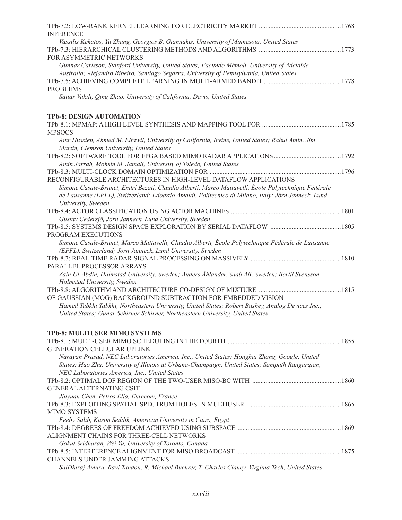| <b>INFERENCE</b>                                                                                                                             |  |
|----------------------------------------------------------------------------------------------------------------------------------------------|--|
| Vassilis Kekatos, Yu Zhang, Georgios B. Giannakis, University of Minnesota, United States                                                    |  |
|                                                                                                                                              |  |
| FOR ASYMMETRIC NETWORKS                                                                                                                      |  |
| Gunnar Carlsson, Stanford University, United States; Facundo Mémoli, University of Adelaide,                                                 |  |
| Australia; Alejandro Ribeiro, Santiago Segarra, University of Pennsylvania, United States                                                    |  |
|                                                                                                                                              |  |
| <b>PROBLEMS</b>                                                                                                                              |  |
| Sattar Vakili, Qing Zhao, University of California, Davis, United States                                                                     |  |
| <b>TPb-8: DESIGN AUTOMATION</b>                                                                                                              |  |
|                                                                                                                                              |  |
| <b>MPSOCS</b>                                                                                                                                |  |
| Amr Hussien, Ahmed M. Eltawil, University of California, Irvine, United States; Rahul Amin, Jim<br>Martin, Clemson University, United States |  |
|                                                                                                                                              |  |
| Amin Jarrah, Mohsin M. Jamali, University of Toledo, United States                                                                           |  |
|                                                                                                                                              |  |
| RECONFIGURABLE ARCHITECTURES IN HIGH-LEVEL DATAFLOW APPLICATIONS                                                                             |  |
| Simone Casale-Brunet, Endri Bezati, Claudio Alberti, Marco Mattavelli, École Polytechnique Fédérale                                          |  |
| de Lausanne (EPFL), Switzerland; Edoardo Amaldi, Politecnico di Milano, Italy; Jörn Janneck, Lund                                            |  |
| University, Sweden                                                                                                                           |  |
|                                                                                                                                              |  |
| Gustav Cedersjö, Jörn Janneck, Lund University, Sweden                                                                                       |  |
|                                                                                                                                              |  |
| PROGRAM EXECUTIONS                                                                                                                           |  |
| Simone Casale-Brunet, Marco Mattavelli, Claudio Alberti, École Polytechnique Fédérale de Lausanne                                            |  |
| (EPFL), Switzerland; Jörn Janneck, Lund University, Sweden                                                                                   |  |
|                                                                                                                                              |  |
| PARALLEL PROCESSOR ARRAYS                                                                                                                    |  |
| Zain Ul-Abdin, Halmstad University, Sweden; Anders Åhlander, Saab AB, Sweden; Bertil Svensson,                                               |  |
| Halmstad University, Sweden                                                                                                                  |  |
|                                                                                                                                              |  |
| OF GAUSSIAN (MOG) BACKGROUND SUBTRACTION FOR EMBEDDED VISION                                                                                 |  |
| Hamed Tabkhi Tabkhi, Northeastern University, United States; Robert Bushey, Analog Devices Inc.,                                             |  |
| United States; Gunar Schirner Schirner, Northeastern University, United States                                                               |  |
| TPb-8: MULTIUSER MIMO SYSTEMS                                                                                                                |  |
|                                                                                                                                              |  |
| <b>GENERATION CELLULAR UPLINK</b>                                                                                                            |  |
| Narayan Prasad, NEC Laboratories America, Inc., United States; Honghai Zhang, Google, United                                                 |  |
| States; Hao Zhu, University of Illinois at Urbana-Champaign, United States; Sampath Rangarajan,                                              |  |
| NEC Laboratories America, Inc., United States                                                                                                |  |
|                                                                                                                                              |  |
| <b>GENERAL ALTERNATING CSIT</b>                                                                                                              |  |
| Jinyuan Chen, Petros Elia, Eurecom, France                                                                                                   |  |
|                                                                                                                                              |  |
| <b>MIMO SYSTEMS</b>                                                                                                                          |  |
| Feeby Salib, Karim Seddik, American University in Cairo, Egypt                                                                               |  |
|                                                                                                                                              |  |
| ALIGNMENT CHAINS FOR THREE-CELL NETWORKS                                                                                                     |  |
| Gokul Sridharan, Wei Yu, University of Toronto, Canada                                                                                       |  |
|                                                                                                                                              |  |
| <b>CHANNELS UNDER JAMMING ATTACKS</b>                                                                                                        |  |
| SaiDhiraj Amuru, Ravi Tandon, R. Michael Buehrer, T. Charles Clancy, Virginia Tech, United States                                            |  |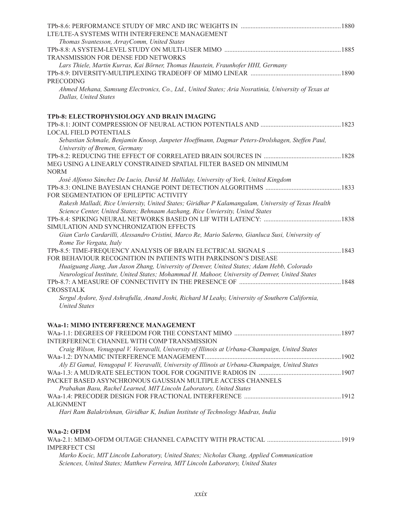| LTE/LTE-A SYSTEMS WITH INTERFERENCE MANAGEMENT                                                                                                    |  |
|---------------------------------------------------------------------------------------------------------------------------------------------------|--|
| Thomas Svantesson, ArrayComm, United States                                                                                                       |  |
| <b>TRANSMISSION FOR DENSE FDD NETWORKS</b>                                                                                                        |  |
| Lars Thiele, Martin Kurras, Kai Börner, Thomas Haustein, Fraunhofer HHI, Germany                                                                  |  |
|                                                                                                                                                   |  |
| <b>PRECODING</b><br>Ahmed Mehana, Samsung Electronics, Co., Ltd., United States; Aria Nosratinia, University of Texas at<br>Dallas, United States |  |
| TPb-8: ELECTROPHYSIOLOGY AND BRAIN IMAGING                                                                                                        |  |
|                                                                                                                                                   |  |
| <b>LOCAL FIELD POTENTIALS</b>                                                                                                                     |  |
| Sebastian Schmale, Benjamin Knoop, Janpeter Hoeffmann, Dagmar Peters-Drolshagen, Steffen Paul,                                                    |  |
| University of Bremen, Germany                                                                                                                     |  |
| MEG USING A LINEARLY CONSTRAINED SPATIAL FILTER BASED ON MINIMUM                                                                                  |  |
| <b>NORM</b>                                                                                                                                       |  |
| José Alfonso Sánchez De Lucio, David M. Halliday, University of York, United Kingdom                                                              |  |
|                                                                                                                                                   |  |
| FOR SEGMENTATION OF EPILEPTIC ACTIVITY                                                                                                            |  |
| Rakesh Malladi, Rice Unviersity, United States; Giridhar P Kalamangalam, University of Texas Health                                               |  |
| Science Center, United States; Behnaam Aazhang, Rice Unviersity, United States                                                                    |  |
|                                                                                                                                                   |  |
| SIMULATION AND SYNCHRONIZATION EFFECTS<br>Gian Carlo Cardarilli, Alessandro Cristini, Marco Re, Mario Salerno, Gianluca Susi, University of       |  |
| Rome Tor Vergata, Italy                                                                                                                           |  |
|                                                                                                                                                   |  |
| FOR BEHAVIOUR RECOGNITION IN PATIENTS WITH PARKINSON'S DISEASE                                                                                    |  |
| Huaiguang Jiang, Jun Jason Zhang, University of Denver, United States; Adam Hebb, Colorado                                                        |  |
| Neurological Institute, United States; Mohammad H. Mahoor, University of Denver, United States                                                    |  |
|                                                                                                                                                   |  |
| <b>CROSSTALK</b>                                                                                                                                  |  |
| Sergul Aydore, Syed Ashrafulla, Anand Joshi, Richard M Leahy, University of Southern California,<br><b>United States</b>                          |  |
| <b>WAa-1: MIMO INTERFERENCE MANAGEMENT</b>                                                                                                        |  |
|                                                                                                                                                   |  |
| INTERFERENCE CHANNEL WITH COMP TRANSMISSION                                                                                                       |  |
| Craig Wilson, Venugopal V. Veeravalli, University of Illinois at Urbana-Champaign, United States                                                  |  |
|                                                                                                                                                   |  |
| Aly El Gamal, Venugopal V. Veeravalli, University of Illinois at Urbana-Champaign, United States                                                  |  |
| PACKET BASED ASYNCHRONOUS GAUSSIAN MULTIPLE ACCESS CHANNELS                                                                                       |  |
| Prabahan Basu, Rachel Learned, MIT Lincoln Laboratory, United States                                                                              |  |
|                                                                                                                                                   |  |
| <b>ALIGNMENT</b>                                                                                                                                  |  |
| Hari Ram Balakrishnan, Giridhar K, Indian Institute of Technology Madras, India                                                                   |  |
| WAa-2: OFDM                                                                                                                                       |  |
| <b>IMPERFECT CSI</b>                                                                                                                              |  |
| Marko Kocic, MIT Lincoln Laboratory, United States; Nicholas Chang, Applied Communication                                                         |  |

*Sciences, United States; Matthew Ferreira, MIT Lincoln Laboratory, United States*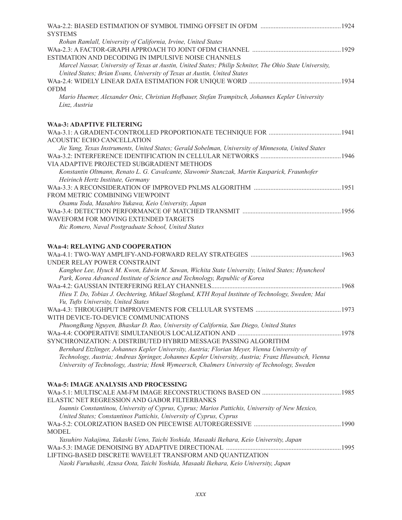| <b>SYSTEMS</b>                                                                                           |  |
|----------------------------------------------------------------------------------------------------------|--|
| Rohan Ramlall, University of California, Irvine, United States                                           |  |
| ESTIMATION AND DECODING IN IMPULSIVE NOISE CHANNELS                                                      |  |
| Marcel Nassar, University of Texas at Austin, United States; Philip Schniter, The Ohio State University, |  |
| United States; Brian Evans, University of Texas at Austin, United States                                 |  |
|                                                                                                          |  |
| <b>OFDM</b>                                                                                              |  |
| Mario Huemer, Alexander Onic, Christian Hofbauer, Stefan Trampitsch, Johannes Kepler University          |  |
| Linz, Austria                                                                                            |  |
|                                                                                                          |  |
| <b>WAa-3: ADAPTIVE FILTERING</b>                                                                         |  |
|                                                                                                          |  |
| ACOUSTIC ECHO CANCELLATION                                                                               |  |
| Jie Yang, Texas Instruments, United States; Gerald Sobelman, University of Minnesota, United States      |  |
|                                                                                                          |  |
| VIA ADAPTIVE PROJECTED SUBGRADIENT METHODS                                                               |  |
| Konstantin Oltmann, Renato L. G. Cavalcante, Slawomir Stanczak, Martin Kasparick, Fraunhofer             |  |
| Heirinch Hertz Institute, Germany                                                                        |  |
|                                                                                                          |  |
| FROM METRIC COMBINING VIEWPOINT                                                                          |  |
| Osamu Toda, Masahiro Yukawa, Keio University, Japan                                                      |  |
|                                                                                                          |  |
| WAVEFORM FOR MOVING EXTENDED TARGETS                                                                     |  |
| Ric Romero, Naval Postgraduate School, United States                                                     |  |
|                                                                                                          |  |
| <b>WAa-4: RELAYING AND COOPERATION</b>                                                                   |  |
|                                                                                                          |  |
| UNDER RELAY POWER CONSTRAINT                                                                             |  |
| Kanghee Lee, Hyuck M. Kwon, Edwin M. Sawan, Wichita State University, United States; Hyuncheol           |  |
| Park, Korea Advanced Institute of Science and Technology, Republic of Korea                              |  |
|                                                                                                          |  |
| Hieu T. Do, Tobias J. Oechtering, Mikael Skoglund, KTH Royal Institute of Technology, Sweden; Mai        |  |
| Vu, Tufts University, United States                                                                      |  |
|                                                                                                          |  |
| WITH DEVICE-TO-DEVICE COMMUNICATIONS                                                                     |  |
| PhuongBang Nguyen, Bhaskar D. Rao, University of California, San Diego, United States                    |  |
|                                                                                                          |  |
| SYNCHRONIZATION: A DISTRIBUTED HYBRID MESSAGE PASSING ALGORITHM                                          |  |
| Bernhard Etzlinger, Johannes Kepler University, Austria; Florian Meyer, Vienna University of             |  |
| Technology, Austria; Andreas Springer, Johannes Kepler University, Austria; Franz Hlawatsch, Vienna      |  |
| University of Technology, Austria; Henk Wymeersch, Chalmers University of Technology, Sweden             |  |
| <b>WAa-5: IMAGE ANALYSIS AND PROCESSING</b>                                                              |  |
|                                                                                                          |  |
| ELASTIC NET REGRESSION AND GABOR FILTERBANKS                                                             |  |
| Ioannis Constantinou, University of Cyprus, Cyprus; Marios Pattichis, University of New Mexico,          |  |
| United States; Constantinos Pattichis, University of Cyprus, Cyprus                                      |  |
|                                                                                                          |  |
| <b>MODEL</b>                                                                                             |  |
| Yasuhiro Nakajima, Takashi Ueno, Taichi Yoshida, Masaaki Ikehara, Keio University, Japan                 |  |
|                                                                                                          |  |
| LIFTING-BASED DISCRETE WAVELET TRANSFORM AND QUANTIZATION                                                |  |
| Naoki Furuhashi, Azusa Oota, Taichi Yoshida, Masaaki Ikehara, Keio University, Japan                     |  |
|                                                                                                          |  |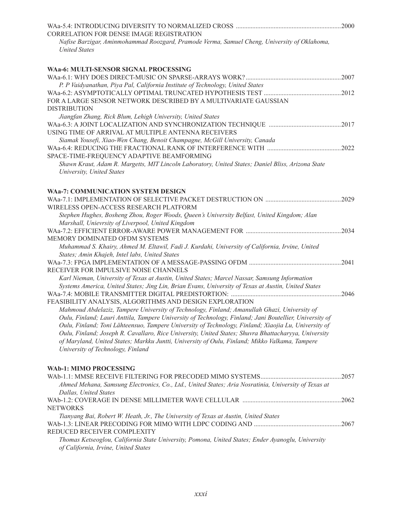|                                                                                                                                     | 2000  |
|-------------------------------------------------------------------------------------------------------------------------------------|-------|
| CORRELATION FOR DENSE IMAGE REGISTRATION                                                                                            |       |
| Nafise Barzigar, Aminmohammad Roozgard, Pramode Verma, Samuel Cheng, University of Oklahoma,<br><b>United States</b>                |       |
|                                                                                                                                     |       |
| WAa-6: MULTI-SENSOR SIGNAL PROCESSING                                                                                               |       |
|                                                                                                                                     | .2007 |
| P. P Vaidyanathan, Piya Pal, California Institute of Technology, United States                                                      |       |
|                                                                                                                                     | 2012  |
| FOR A LARGE SENSOR NETWORK DESCRIBED BY A MULTIVARIATE GAUSSIAN                                                                     |       |
| <b>DISTRIBUTION</b>                                                                                                                 |       |
| Jiangfan Zhang, Rick Blum, Lehigh University, United States                                                                         |       |
| USING TIME OF ARRIVAL AT MULTIPLE ANTENNA RECEIVERS                                                                                 | .2017 |
|                                                                                                                                     |       |
| Siamak Yousefi, Xiao-Wen Chang, Benoit Champagne, McGill University, Canada                                                         | 2022  |
| SPACE-TIME-FREQUENCY ADAPTIVE BEAMFORMING                                                                                           |       |
| Shawn Kraut, Adam R. Margetts, MIT Lincoln Laboratory, United States; Daniel Bliss, Arizona State                                   |       |
| University, United States                                                                                                           |       |
|                                                                                                                                     |       |
| <b>WAa-7: COMMUNICATION SYSTEM DESIGN</b>                                                                                           |       |
|                                                                                                                                     | .2029 |
| WIRELESS OPEN-ACCESS RESEARCH PLATFORM                                                                                              |       |
| Stephen Hughes, Bosheng Zhou, Roger Woods, Queen's University Belfast, United Kingdom; Alan                                         |       |
| Marshall, Unievrsity of Liverpool, United Kingdom                                                                                   | 2034  |
| MEMORY DOMINATED OFDM SYSTEMS                                                                                                       |       |
| Muhammad S. Khairy, Ahmed M. Eltawil, Fadi J. Kurdahi, University of California, Irvine, United                                     |       |
| States; Amin Khajeh, Intel labs, United States                                                                                      |       |
|                                                                                                                                     | 2041  |
| RECEIVER FOR IMPULSIVE NOISE CHANNELS                                                                                               |       |
| Karl Nieman, University of Texas at Austin, United States; Marcel Nassar, Samsung Information                                       |       |
| Systems America, United States; Jing Lin, Brian Evans, University of Texas at Austin, United States                                 |       |
|                                                                                                                                     | 2046  |
| FEASIBILITY ANALYSIS, ALGORITHMS AND DESIGN EXPLORATION                                                                             |       |
| Mahmoud Abdelaziz, Tampere University of Technology, Finland; Amanullah Ghazi, University of                                        |       |
| Oulu, Finland; Lauri Anttila, Tampere University of Technology, Finland; Jani Boutellier, University of                             |       |
| Oulu, Finland; Toni Lähteensuo, Tampere University of Technology, Finland; Xiaojia Lu, University of                                |       |
| Oulu, Finland; Joseph R. Cavallaro, Rice University, United States; Shuvra Bhattacharyya, University                                |       |
| of Maryland, United States; Markku Juntti, University of Oulu, Finland; Mikko Valkama, Tampere<br>University of Technology, Finland |       |
|                                                                                                                                     |       |
| WAb-1: MIMO PROCESSING                                                                                                              |       |
|                                                                                                                                     | .2057 |
| Ahmed Mehana, Samsung Electronics, Co., Ltd., United States; Aria Nosratinia, University of Texas at<br>Dallas, United States       |       |
|                                                                                                                                     |       |
| <b>NETWORKS</b>                                                                                                                     |       |
| Tianyang Bai, Robert W. Heath, Jr., The University of Texas at Austin, United States                                                |       |
|                                                                                                                                     | .2067 |
| REDUCED RECEIVER COMPLEXITY                                                                                                         |       |
| Thomas Ketseoglou, California State University, Pomona, United States; Ender Ayanoglu, University                                   |       |

*of California, Irvine, United States*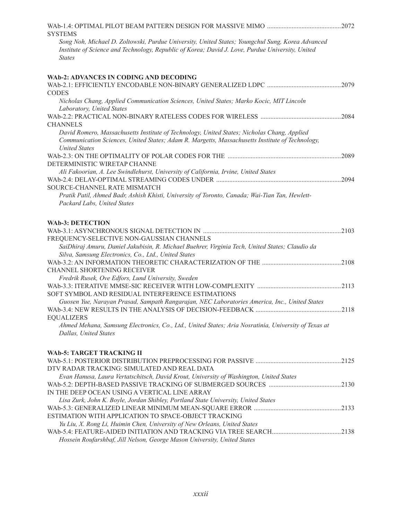| <b>SYSTEMS</b>                                                                                                                                                                                                         |  |
|------------------------------------------------------------------------------------------------------------------------------------------------------------------------------------------------------------------------|--|
| Song Noh, Michael D. Zoltowski, Purdue University, United States; Youngchul Sung, Korea Advanced<br>Institute of Science and Technology, Republic of Korea; David J. Love, Purdue University, United<br><b>States</b>  |  |
| <b>WAb-2: ADVANCES IN CODING AND DECODING</b>                                                                                                                                                                          |  |
|                                                                                                                                                                                                                        |  |
| <b>CODES</b>                                                                                                                                                                                                           |  |
| Nicholas Chang, Applied Communication Sciences, United States; Marko Kocic, MIT Lincoln<br>Laboratory, United States                                                                                                   |  |
| <b>CHANNELS</b>                                                                                                                                                                                                        |  |
| David Romero, Massachusetts Institute of Technology, United States; Nicholas Chang, Applied<br>Communication Sciences, United States; Adam R. Margetts, Massachusetts Institute of Technology,<br><b>United States</b> |  |
|                                                                                                                                                                                                                        |  |
| DETERMINISTIC WIRETAP CHANNE                                                                                                                                                                                           |  |
| Ali Fakoorian, A. Lee Swindlehurst, University of California, Irvine, United States                                                                                                                                    |  |
| SOURCE-CHANNEL RATE MISMATCH                                                                                                                                                                                           |  |
| Pratik Patil, Ahmed Badr, Ashish Khisti, University of Toronto, Canada; Wai-Tian Tan, Hewlett-                                                                                                                         |  |
| Packard Labs, United States                                                                                                                                                                                            |  |
|                                                                                                                                                                                                                        |  |
| <b>WAb-3: DETECTION</b>                                                                                                                                                                                                |  |
|                                                                                                                                                                                                                        |  |
| FREQUENCY-SELECTIVE NON-GAUSSIAN CHANNELS                                                                                                                                                                              |  |
| SaiDhiraj Amuru, Daniel Jakubisin, R. Michael Buehrer, Virginia Tech, United States; Claudio da                                                                                                                        |  |
| Silva, Samsung Electronics, Co., Ltd., United States                                                                                                                                                                   |  |
|                                                                                                                                                                                                                        |  |
| CHANNEL SHORTENING RECEIVER                                                                                                                                                                                            |  |
| Fredrik Rusek, Ove Edfors, Lund University, Sweden                                                                                                                                                                     |  |
|                                                                                                                                                                                                                        |  |
| SOFT SYMBOL AND RESIDUAL INTERFERENCE ESTIMATIONS                                                                                                                                                                      |  |
| Guosen Yue, Narayan Prasad, Sampath Rangarajan, NEC Laboratories America, Inc., United States                                                                                                                          |  |
| <b>EQUALIZERS</b>                                                                                                                                                                                                      |  |
| Ahmed Mehana, Samsung Electronics, Co., Ltd., United States; Aria Nosratinia, University of Texas at                                                                                                                   |  |
| Dallas, United States                                                                                                                                                                                                  |  |
|                                                                                                                                                                                                                        |  |
| WAb-5: TARGET TRACKING II                                                                                                                                                                                              |  |
|                                                                                                                                                                                                                        |  |
| DTV RADAR TRACKING: SIMULATED AND REAL DATA                                                                                                                                                                            |  |
| Evan Hanusa, Laura Vertatschitsch, David Krout, University of Washington, United States                                                                                                                                |  |
|                                                                                                                                                                                                                        |  |
| IN THE DEEP OCEAN USING A VERTICAL LINE ARRAY                                                                                                                                                                          |  |
| Lisa Zurk, John K. Boyle, Jordan Shibley, Portland State University, United States                                                                                                                                     |  |
| ESTIMATION WITH APPLICATION TO SPACE-OBJECT TRACKING                                                                                                                                                                   |  |
| Yu Liu, X. Rong Li, Huimin Chen, University of New Orleans, United States                                                                                                                                              |  |
|                                                                                                                                                                                                                        |  |
| Hossein Roufarshbaf, Jill Nelson, George Mason University, United States                                                                                                                                               |  |